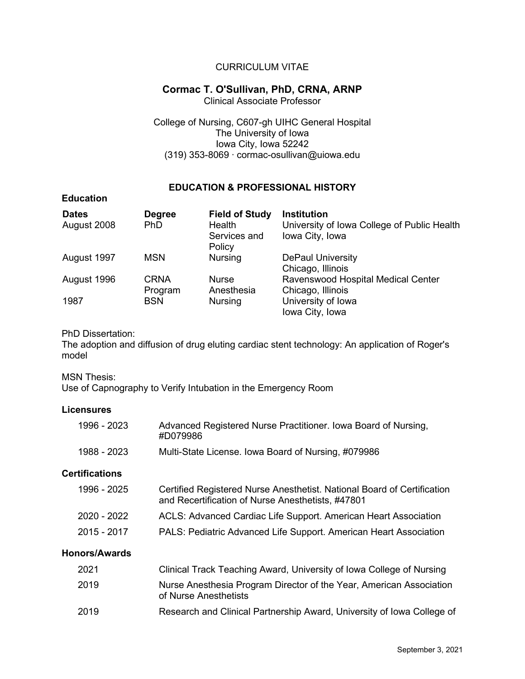## CURRICULUM VITAE

## **Cormac T. O'Sullivan, PhD, CRNA, ARNP**

Clinical Associate Professor

College of Nursing, C607-gh UIHC General Hospital The University of Iowa Iowa City, Iowa 52242 (319) 353-8069 ∙ cormac-osullivan@uiowa.edu

### **EDUCATION & PROFESSIONAL HISTORY**

| <b>Dates</b><br>August 2008 | <b>Degree</b><br><b>PhD</b> | <b>Field of Study</b><br>Health<br>Services and<br>Policy | <b>Institution</b><br>University of Iowa College of Public Health<br>Iowa City, Iowa |
|-----------------------------|-----------------------------|-----------------------------------------------------------|--------------------------------------------------------------------------------------|
| August 1997                 | <b>MSN</b>                  | <b>Nursing</b>                                            | <b>DePaul University</b><br>Chicago, Illinois                                        |
| August 1996                 | <b>CRNA</b><br>Program      | <b>Nurse</b><br>Anesthesia                                | Ravenswood Hospital Medical Center<br>Chicago, Illinois                              |
| 1987                        | <b>BSN</b>                  | <b>Nursing</b>                                            | University of Iowa<br>Iowa City, Iowa                                                |

### PhD Dissertation:

The adoption and diffusion of drug eluting cardiac stent technology: An application of Roger's model

### MSN Thesis:

**Education**

Use of Capnography to Verify Intubation in the Emergency Room

### **Licensures**

| 1996 - 2023           | Advanced Registered Nurse Practitioner. Iowa Board of Nursing,<br>#D079986                                                   |
|-----------------------|------------------------------------------------------------------------------------------------------------------------------|
| 1988 - 2023           | Multi-State License. Iowa Board of Nursing, #079986                                                                          |
| <b>Certifications</b> |                                                                                                                              |
| 1996 - 2025           | Certified Registered Nurse Anesthetist. National Board of Certification<br>and Recertification of Nurse Anesthetists, #47801 |
| 2020 - 2022           | ACLS: Advanced Cardiac Life Support. American Heart Association                                                              |
| 2015 - 2017           | PALS: Pediatric Advanced Life Support. American Heart Association                                                            |
| <b>Honors/Awards</b>  |                                                                                                                              |
| 2021                  | Clinical Track Teaching Award, University of Iowa College of Nursing                                                         |
| 2019                  | Nurse Anesthesia Program Director of the Year, American Association<br>of Nurse Anesthetists                                 |
| 2019                  | Research and Clinical Partnership Award, University of Iowa College of                                                       |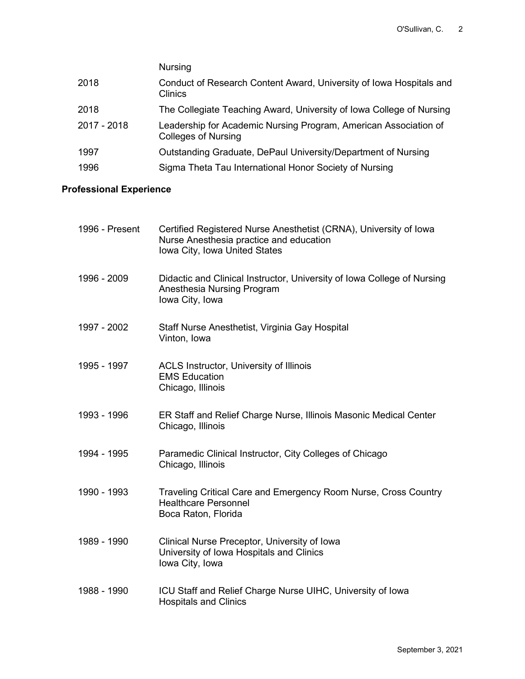|             | <b>Nursing</b>                                                                                 |
|-------------|------------------------------------------------------------------------------------------------|
| 2018        | Conduct of Research Content Award, University of Iowa Hospitals and<br>Clinics                 |
| 2018        | The Collegiate Teaching Award, University of Iowa College of Nursing                           |
| 2017 - 2018 | Leadership for Academic Nursing Program, American Association of<br><b>Colleges of Nursing</b> |
| 1997        | Outstanding Graduate, DePaul University/Department of Nursing                                  |
| 1996        | Sigma Theta Tau International Honor Society of Nursing                                         |

# **Professional Experience**

| 1996 - Present | Certified Registered Nurse Anesthetist (CRNA), University of Iowa<br>Nurse Anesthesia practice and education<br>Iowa City, Iowa United States |
|----------------|-----------------------------------------------------------------------------------------------------------------------------------------------|
| 1996 - 2009    | Didactic and Clinical Instructor, University of Iowa College of Nursing<br>Anesthesia Nursing Program<br>Iowa City, Iowa                      |
| 1997 - 2002    | Staff Nurse Anesthetist, Virginia Gay Hospital<br>Vinton, Iowa                                                                                |
| 1995 - 1997    | ACLS Instructor, University of Illinois<br><b>EMS Education</b><br>Chicago, Illinois                                                          |
| 1993 - 1996    | ER Staff and Relief Charge Nurse, Illinois Masonic Medical Center<br>Chicago, Illinois                                                        |
| 1994 - 1995    | Paramedic Clinical Instructor, City Colleges of Chicago<br>Chicago, Illinois                                                                  |
| 1990 - 1993    | Traveling Critical Care and Emergency Room Nurse, Cross Country<br><b>Healthcare Personnel</b><br>Boca Raton, Florida                         |
| 1989 - 1990    | Clinical Nurse Preceptor, University of Iowa<br>University of Iowa Hospitals and Clinics<br>Iowa City, Iowa                                   |
| 1988 - 1990    | ICU Staff and Relief Charge Nurse UIHC, University of Iowa<br><b>Hospitals and Clinics</b>                                                    |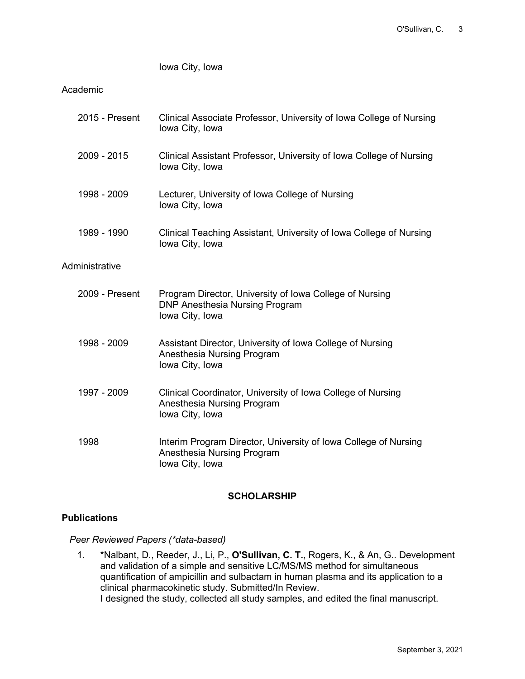Iowa City, Iowa

### Academic

| 2015 - Present | Clinical Associate Professor, University of Iowa College of Nursing<br>Iowa City, Iowa                              |
|----------------|---------------------------------------------------------------------------------------------------------------------|
| 2009 - 2015    | Clinical Assistant Professor, University of Iowa College of Nursing<br>Iowa City, Iowa                              |
| 1998 - 2009    | Lecturer, University of Iowa College of Nursing<br>Iowa City, Iowa                                                  |
| 1989 - 1990    | Clinical Teaching Assistant, University of Iowa College of Nursing<br>Iowa City, Iowa                               |
| Administrative |                                                                                                                     |
| 2009 - Present | Program Director, University of Iowa College of Nursing<br><b>DNP Anesthesia Nursing Program</b><br>Iowa City, Iowa |
| 1998 - 2009    | Assistant Director, University of Iowa College of Nursing<br>Anesthesia Nursing Program<br>lowa City, lowa          |
| 1997 - 2009    | Clinical Coordinator, University of Iowa College of Nursing<br>Anesthesia Nursing Program<br>Iowa City, Iowa        |
| 1998           | Interim Program Director, University of Iowa College of Nursing<br>Anesthesia Nursing Program<br>lowa City, Iowa    |

### **SCHOLARSHIP**

### **Publications**

*Peer Reviewed Papers (\*data-based)*

1. \*Nalbant, D., Reeder, J., Li, P., **O'Sullivan, C. T.**, Rogers, K., & An, G.. Development and validation of a simple and sensitive LC/MS/MS method for simultaneous quantification of ampicillin and sulbactam in human plasma and its application to a clinical pharmacokinetic study. Submitted/In Review. I designed the study, collected all study samples, and edited the final manuscript.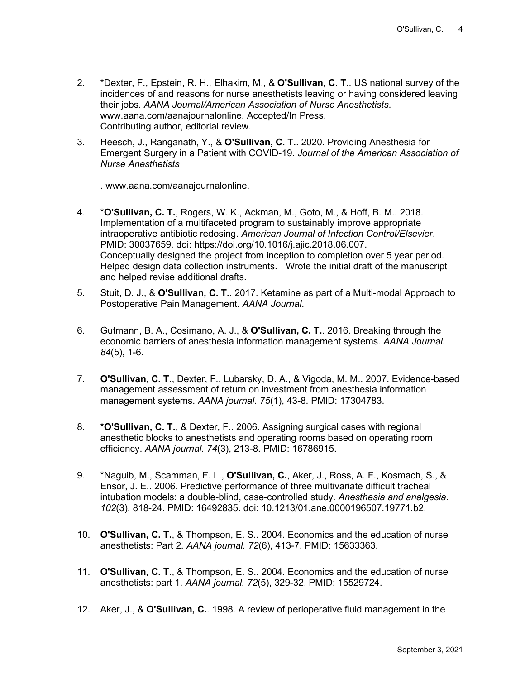- 2. \*Dexter, F., Epstein, R. H., Elhakim, M., & **O'Sullivan, C. T.**. US national survey of the incidences of and reasons for nurse anesthetists leaving or having considered leaving their jobs. *AANA Journal/American Association of Nurse Anesthetists*. www.aana.com/aanajournalonline. Accepted/In Press. Contributing author, editorial review.
- 3. Heesch, J., Ranganath, Y., & **O'Sullivan, C. T.**. 2020. Providing Anesthesia for Emergent Surgery in a Patient with COVID-19. *Journal of the American Association of Nurse Anesthetists*

. www.aana.com/aanajournalonline.

- 4. \***O'Sullivan, C. T.**, Rogers, W. K., Ackman, M., Goto, M., & Hoff, B. M.. 2018. Implementation of a multifaceted program to sustainably improve appropriate intraoperative antibiotic redosing. *American Journal of Infection Control/Elsevier*. PMID: 30037659. doi: https://doi.org/10.1016/j.ajic.2018.06.007. Conceptually designed the project from inception to completion over 5 year period. Helped design data collection instruments. Wrote the initial draft of the manuscript and helped revise additional drafts.
- 5. Stuit, D. J., & **O'Sullivan, C. T.**. 2017. Ketamine as part of a Multi-modal Approach to Postoperative Pain Management. *AANA Journal*.
- 6. Gutmann, B. A., Cosimano, A. J., & **O'Sullivan, C. T.**. 2016. Breaking through the economic barriers of anesthesia information management systems. *AANA Journal. 84*(5), 1-6.
- 7. **O'Sullivan, C. T.**, Dexter, F., Lubarsky, D. A., & Vigoda, M. M.. 2007. Evidence-based management assessment of return on investment from anesthesia information management systems. *AANA journal. 75*(1), 43-8. PMID: 17304783.
- 8. \***O'Sullivan, C. T.**, & Dexter, F.. 2006. Assigning surgical cases with regional anesthetic blocks to anesthetists and operating rooms based on operating room efficiency. *AANA journal. 74*(3), 213-8. PMID: 16786915.
- 9. \*Naguib, M., Scamman, F. L., **O'Sullivan, C.**, Aker, J., Ross, A. F., Kosmach, S., & Ensor, J. E.. 2006. Predictive performance of three multivariate difficult tracheal intubation models: a double-blind, case-controlled study. *Anesthesia and analgesia. 102*(3), 818-24. PMID: 16492835. doi: 10.1213/01.ane.0000196507.19771.b2.
- 10. **O'Sullivan, C. T.**, & Thompson, E. S.. 2004. Economics and the education of nurse anesthetists: Part 2. *AANA journal. 72*(6), 413-7. PMID: 15633363.
- 11. **O'Sullivan, C. T.**, & Thompson, E. S.. 2004. Economics and the education of nurse anesthetists: part 1. *AANA journal. 72*(5), 329-32. PMID: 15529724.
- 12. Aker, J., & **O'Sullivan, C.**. 1998. A review of perioperative fluid management in the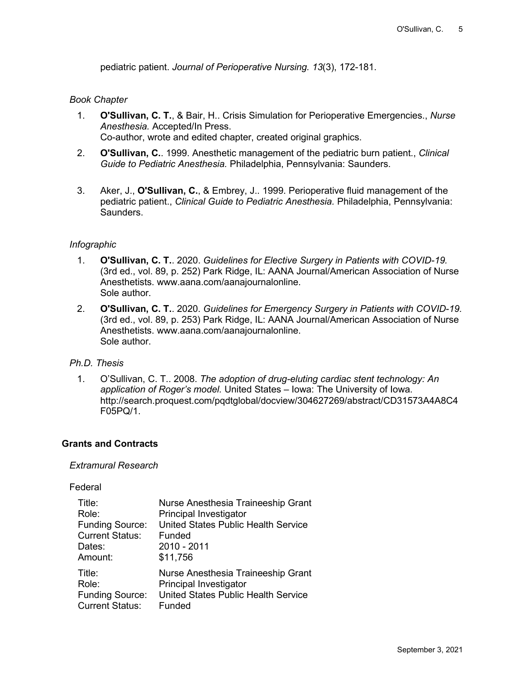pediatric patient. *Journal of Perioperative Nursing. 13*(3), 172-181.

#### *Book Chapter*

- 1. **O'Sullivan, C. T.**, & Bair, H.. Crisis Simulation for Perioperative Emergencies., *Nurse Anesthesia.* Accepted/In Press. Co-author, wrote and edited chapter, created original graphics.
- 2. **O'Sullivan, C.**. 1999. Anesthetic management of the pediatric burn patient., *Clinical Guide to Pediatric Anesthesia.* Philadelphia, Pennsylvania: Saunders.
- 3. Aker, J., **O'Sullivan, C.**, & Embrey, J.. 1999. Perioperative fluid management of the pediatric patient., *Clinical Guide to Pediatric Anesthesia.* Philadelphia, Pennsylvania: Saunders.

#### *Infographic*

- 1. **O'Sullivan, C. T.**. 2020. *Guidelines for Elective Surgery in Patients with COVID-19.* (3rd ed., vol. 89, p. 252) Park Ridge, IL: AANA Journal/American Association of Nurse Anesthetists. www.aana.com/aanajournalonline. Sole author.
- 2. **O'Sullivan, C. T.**. 2020. *Guidelines for Emergency Surgery in Patients with COVID-19.* (3rd ed., vol. 89, p. 253) Park Ridge, IL: AANA Journal/American Association of Nurse Anesthetists. www.aana.com/aanajournalonline. Sole author.

#### *Ph.D. Thesis*

1. O'Sullivan, C. T.. 2008. *The adoption of drug-eluting cardiac stent technology: An application of Roger's model.* United States – Iowa: The University of Iowa. http://search.proquest.com/pqdtglobal/docview/304627269/abstract/CD31573A4A8C4 F05PQ/1.

#### **Grants and Contracts**

#### *Extramural Research*

#### Federal

| Title:                 | Nurse Anesthesia Traineeship Grant  |
|------------------------|-------------------------------------|
| Role:                  | <b>Principal Investigator</b>       |
| <b>Funding Source:</b> | United States Public Health Service |
| <b>Current Status:</b> | Funded                              |
| Dates:                 | 2010 - 2011                         |
| Amount:                | \$11,756                            |
| Title:                 | Nurse Anesthesia Traineeship Grant  |
| Role:                  | Principal Investigator              |
| <b>Funding Source:</b> | United States Public Health Service |
| <b>Current Status:</b> | Funded                              |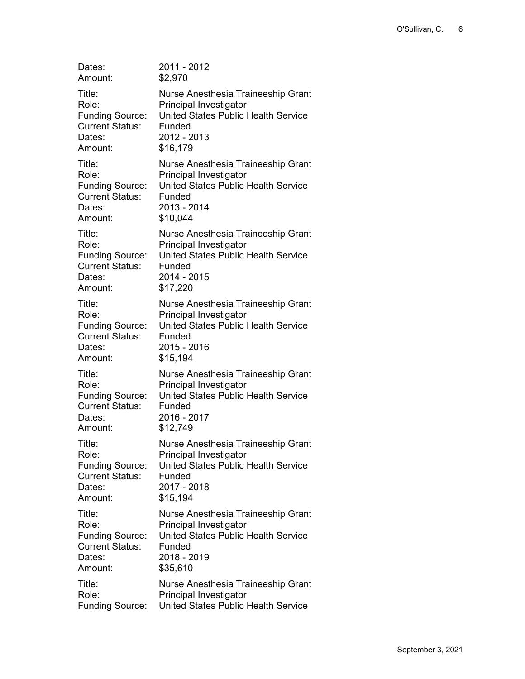| Dates:                 | 2011 - 2012                                |
|------------------------|--------------------------------------------|
| Amount:                | \$2,970                                    |
| Title:                 | Nurse Anesthesia Traineeship Grant         |
| Role:                  | Principal Investigator                     |
| <b>Funding Source:</b> | <b>United States Public Health Service</b> |
| <b>Current Status:</b> | Funded                                     |
| Dates:                 | 2012 - 2013                                |
| Amount:                | \$16,179                                   |
| Title:                 | Nurse Anesthesia Traineeship Grant         |
| Role:                  | Principal Investigator                     |
| <b>Funding Source:</b> | <b>United States Public Health Service</b> |
| <b>Current Status:</b> | Funded                                     |
| Dates:                 | 2013 - 2014                                |
| Amount:                | \$10,044                                   |
| Title:                 | Nurse Anesthesia Traineeship Grant         |
| Role:                  | Principal Investigator                     |
| <b>Funding Source:</b> | <b>United States Public Health Service</b> |
| <b>Current Status:</b> | Funded                                     |
| Dates:                 | 2014 - 2015                                |
| Amount:                | \$17,220                                   |
| Title:                 | Nurse Anesthesia Traineeship Grant         |
| Role:                  | Principal Investigator                     |
| <b>Funding Source:</b> | <b>United States Public Health Service</b> |
| <b>Current Status:</b> | Funded                                     |
| Dates:                 | 2015 - 2016                                |
| Amount:                | \$15,194                                   |
| Title:                 | Nurse Anesthesia Traineeship Grant         |
| Role:                  | Principal Investigator                     |
| <b>Funding Source:</b> | <b>United States Public Health Service</b> |
| <b>Current Status:</b> | Funded                                     |
| Dates:                 | 2016 - 2017                                |
| Amount:                | \$12,749                                   |
| Title:                 | Nurse Anesthesia Traineeship Grant         |
| Role:                  | Principal Investigator                     |
| <b>Funding Source:</b> | <b>United States Public Health Service</b> |
| <b>Current Status:</b> | Funded                                     |
| Dates:                 | 2017 - 2018                                |
| Amount:                | \$15,194                                   |
| Title:                 | Nurse Anesthesia Traineeship Grant         |
| Role:                  | Principal Investigator                     |
| <b>Funding Source:</b> | <b>United States Public Health Service</b> |
| <b>Current Status:</b> | Funded                                     |
| Dates:                 | 2018 - 2019                                |
| Amount:                | \$35,610                                   |
| Title:                 | Nurse Anesthesia Traineeship Grant         |
| Role:                  | Principal Investigator                     |
| <b>Funding Source:</b> | <b>United States Public Health Service</b> |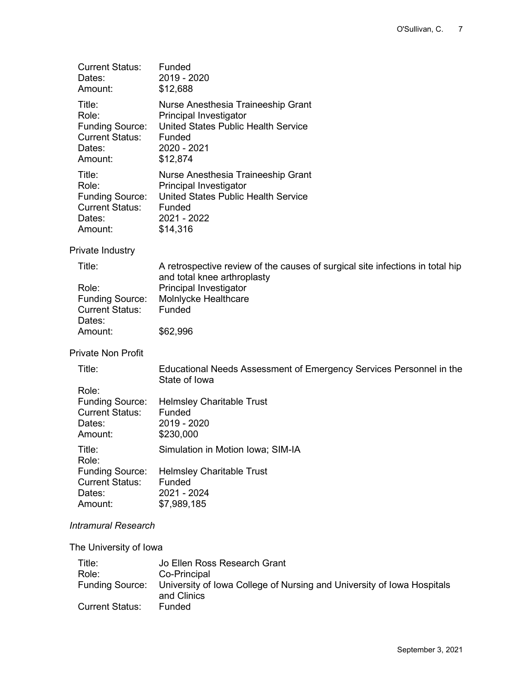| <b>Current Status:</b><br>Dates:<br>Amount:                                              | Funded<br>2019 - 2020<br>\$12,688                                                                                                               |
|------------------------------------------------------------------------------------------|-------------------------------------------------------------------------------------------------------------------------------------------------|
| Title:<br>Role:<br><b>Funding Source:</b><br><b>Current Status:</b><br>Dates:<br>Amount: | Nurse Anesthesia Traineeship Grant<br>Principal Investigator<br>United States Public Health Service<br>Funded<br>2020 - 2021<br>\$12,874        |
| Title:<br>Role:<br><b>Funding Source:</b><br><b>Current Status:</b><br>Dates:<br>Amount: | Nurse Anesthesia Traineeship Grant<br><b>Principal Investigator</b><br>United States Public Health Service<br>Funded<br>2021 - 2022<br>\$14,316 |
| Private Industry                                                                         |                                                                                                                                                 |
| Title:                                                                                   | A retrospective review of the causes of surgical site infections in total hip                                                                   |
| Role:<br><b>Funding Source:</b><br><b>Current Status:</b><br>Dates:                      | and total knee arthroplasty<br><b>Principal Investigator</b><br>Molnlycke Healthcare<br>Funded                                                  |
| Amount:                                                                                  | \$62,996                                                                                                                                        |
| <b>Private Non Profit</b>                                                                |                                                                                                                                                 |
| Title:                                                                                   | Educational Needs Assessment of Emergency Services Personnel in the<br>State of Iowa                                                            |
| Role:<br><b>Funding Source:</b><br><b>Current Status:</b><br>Dates:<br>Amount:           | <b>Helmsley Charitable Trust</b><br>Funded<br>2019 - 2020<br>\$230,000                                                                          |
| Title:<br>Role:                                                                          | Simulation in Motion Iowa; SIM-IA                                                                                                               |
| <b>Funding Source:</b><br><b>Current Status:</b><br>Dates:<br>Amount:                    | <b>Helmsley Charitable Trust</b><br>Funded<br>2021 - 2024<br>\$7,989,185                                                                        |
| <b>Intramural Research</b>                                                               |                                                                                                                                                 |
| The University of Iowa                                                                   |                                                                                                                                                 |
| Title:                                                                                   | Jo Ellen Ross Research Grant                                                                                                                    |

| Role:           | Co-Principal                                                                           |
|-----------------|----------------------------------------------------------------------------------------|
|                 | Funding Source: University of Iowa College of Nursing and University of Iowa Hospitals |
|                 | and Clinics                                                                            |
| Current Status: | <b>Funded</b>                                                                          |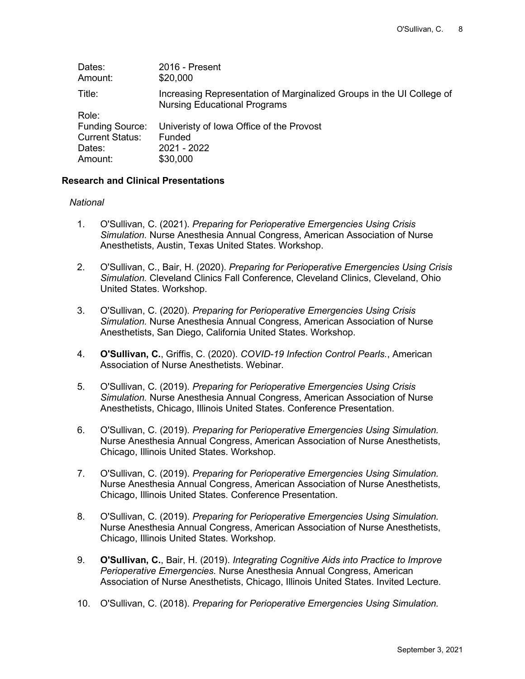| 2016 - Present<br>\$20,000                                                                                   |
|--------------------------------------------------------------------------------------------------------------|
| Increasing Representation of Marginalized Groups in the UI College of<br><b>Nursing Educational Programs</b> |
|                                                                                                              |
| Univeristy of Iowa Office of the Provost                                                                     |
| Funded                                                                                                       |
| 2021 - 2022                                                                                                  |
| \$30,000                                                                                                     |
|                                                                                                              |

#### **Research and Clinical Presentations**

#### *National*

- 1. O'Sullivan, C. (2021). *Preparing for Perioperative Emergencies Using Crisis Simulation.* Nurse Anesthesia Annual Congress, American Association of Nurse Anesthetists, Austin, Texas United States. Workshop.
- 2. O'Sullivan, C., Bair, H. (2020). *Preparing for Perioperative Emergencies Using Crisis Simulation.* Cleveland Clinics Fall Conference, Cleveland Clinics, Cleveland, Ohio United States. Workshop.
- 3. O'Sullivan, C. (2020). *Preparing for Perioperative Emergencies Using Crisis Simulation.* Nurse Anesthesia Annual Congress, American Association of Nurse Anesthetists, San Diego, California United States. Workshop.
- 4. **O'Sullivan, C.**, Griffis, C. (2020). *COVID-19 Infection Control Pearls.*, American Association of Nurse Anesthetists. Webinar.
- 5. O'Sullivan, C. (2019). *Preparing for Perioperative Emergencies Using Crisis Simulation.* Nurse Anesthesia Annual Congress, American Association of Nurse Anesthetists, Chicago, Illinois United States. Conference Presentation.
- 6. O'Sullivan, C. (2019). *Preparing for Perioperative Emergencies Using Simulation.* Nurse Anesthesia Annual Congress, American Association of Nurse Anesthetists, Chicago, Illinois United States. Workshop.
- 7. O'Sullivan, C. (2019). *Preparing for Perioperative Emergencies Using Simulation.* Nurse Anesthesia Annual Congress, American Association of Nurse Anesthetists, Chicago, Illinois United States. Conference Presentation.
- 8. O'Sullivan, C. (2019). *Preparing for Perioperative Emergencies Using Simulation.* Nurse Anesthesia Annual Congress, American Association of Nurse Anesthetists, Chicago, Illinois United States. Workshop.
- 9. **O'Sullivan, C.**, Bair, H. (2019). *Integrating Cognitive Aids into Practice to Improve Perioperative Emergencies.* Nurse Anesthesia Annual Congress, American Association of Nurse Anesthetists, Chicago, Illinois United States. Invited Lecture.
- 10. O'Sullivan, C. (2018). *Preparing for Perioperative Emergencies Using Simulation.*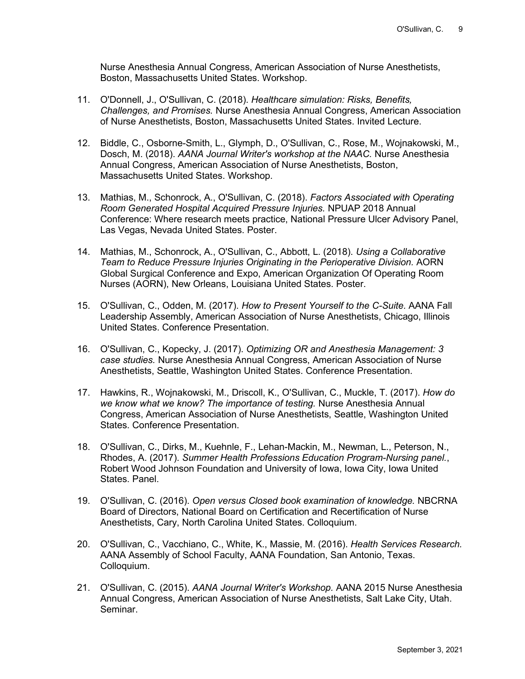Nurse Anesthesia Annual Congress, American Association of Nurse Anesthetists, Boston, Massachusetts United States. Workshop.

- 11. O'Donnell, J., O'Sullivan, C. (2018). *Healthcare simulation: Risks, Benefits, Challenges, and Promises.* Nurse Anesthesia Annual Congress, American Association of Nurse Anesthetists, Boston, Massachusetts United States. Invited Lecture.
- 12. Biddle, C., Osborne-Smith, L., Glymph, D., O'Sullivan, C., Rose, M., Wojnakowski, M., Dosch, M. (2018). *AANA Journal Writer's workshop at the NAAC.* Nurse Anesthesia Annual Congress, American Association of Nurse Anesthetists, Boston, Massachusetts United States. Workshop.
- 13. Mathias, M., Schonrock, A., O'Sullivan, C. (2018). *Factors Associated with Operating Room Generated Hospital Acquired Pressure Injuries.* NPUAP 2018 Annual Conference: Where research meets practice, National Pressure Ulcer Advisory Panel, Las Vegas, Nevada United States. Poster.
- 14. Mathias, M., Schonrock, A., O'Sullivan, C., Abbott, L. (2018). *Using a Collaborative Team to Reduce Pressure Injuries Originating in the Perioperative Division.* AORN Global Surgical Conference and Expo, American Organization Of Operating Room Nurses (AORN), New Orleans, Louisiana United States. Poster.
- 15. O'Sullivan, C., Odden, M. (2017). *How to Present Yourself to the C-Suite.* AANA Fall Leadership Assembly, American Association of Nurse Anesthetists, Chicago, Illinois United States. Conference Presentation.
- 16. O'Sullivan, C., Kopecky, J. (2017). *Optimizing OR and Anesthesia Management: 3 case studies.* Nurse Anesthesia Annual Congress, American Association of Nurse Anesthetists, Seattle, Washington United States. Conference Presentation.
- 17. Hawkins, R., Wojnakowski, M., Driscoll, K., O'Sullivan, C., Muckle, T. (2017). *How do we know what we know? The importance of testing.* Nurse Anesthesia Annual Congress, American Association of Nurse Anesthetists, Seattle, Washington United States. Conference Presentation.
- 18. O'Sullivan, C., Dirks, M., Kuehnle, F., Lehan-Mackin, M., Newman, L., Peterson, N., Rhodes, A. (2017). *Summer Health Professions Education Program-Nursing panel.*, Robert Wood Johnson Foundation and University of Iowa, Iowa City, Iowa United States. Panel.
- 19. O'Sullivan, C. (2016). *Open versus Closed book examination of knowledge.* NBCRNA Board of Directors, National Board on Certification and Recertification of Nurse Anesthetists, Cary, North Carolina United States. Colloquium.
- 20. O'Sullivan, C., Vacchiano, C., White, K., Massie, M. (2016). *Health Services Research.* AANA Assembly of School Faculty, AANA Foundation, San Antonio, Texas. Colloquium.
- 21. O'Sullivan, C. (2015). *AANA Journal Writer's Workshop.* AANA 2015 Nurse Anesthesia Annual Congress, American Association of Nurse Anesthetists, Salt Lake City, Utah. Seminar.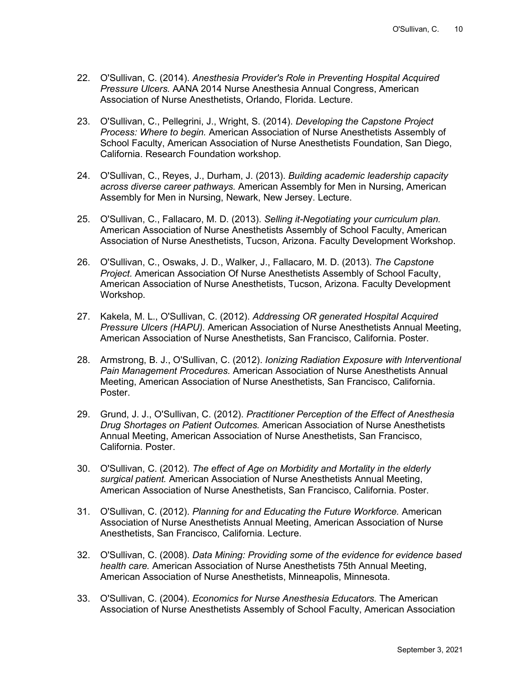- 22. O'Sullivan, C. (2014). *Anesthesia Provider's Role in Preventing Hospital Acquired Pressure Ulcers.* AANA 2014 Nurse Anesthesia Annual Congress, American Association of Nurse Anesthetists, Orlando, Florida. Lecture.
- 23. O'Sullivan, C., Pellegrini, J., Wright, S. (2014). *Developing the Capstone Project Process: Where to begin.* American Association of Nurse Anesthetists Assembly of School Faculty, American Association of Nurse Anesthetists Foundation, San Diego, California. Research Foundation workshop.
- 24. O'Sullivan, C., Reyes, J., Durham, J. (2013). *Building academic leadership capacity across diverse career pathways.* American Assembly for Men in Nursing, American Assembly for Men in Nursing, Newark, New Jersey. Lecture.
- 25. O'Sullivan, C., Fallacaro, M. D. (2013). *Selling it-Negotiating your curriculum plan.* American Association of Nurse Anesthetists Assembly of School Faculty, American Association of Nurse Anesthetists, Tucson, Arizona. Faculty Development Workshop.
- 26. O'Sullivan, C., Oswaks, J. D., Walker, J., Fallacaro, M. D. (2013). *The Capstone Project.* American Association Of Nurse Anesthetists Assembly of School Faculty, American Association of Nurse Anesthetists, Tucson, Arizona. Faculty Development Workshop.
- 27. Kakela, M. L., O'Sullivan, C. (2012). *Addressing OR generated Hospital Acquired Pressure Ulcers (HAPU).* American Association of Nurse Anesthetists Annual Meeting, American Association of Nurse Anesthetists, San Francisco, California. Poster.
- 28. Armstrong, B. J., O'Sullivan, C. (2012). *Ionizing Radiation Exposure with Interventional Pain Management Procedures.* American Association of Nurse Anesthetists Annual Meeting, American Association of Nurse Anesthetists, San Francisco, California. Poster.
- 29. Grund, J. J., O'Sullivan, C. (2012). *Practitioner Perception of the Effect of Anesthesia Drug Shortages on Patient Outcomes.* American Association of Nurse Anesthetists Annual Meeting, American Association of Nurse Anesthetists, San Francisco, California. Poster.
- 30. O'Sullivan, C. (2012). *The effect of Age on Morbidity and Mortality in the elderly surgical patient.* American Association of Nurse Anesthetists Annual Meeting, American Association of Nurse Anesthetists, San Francisco, California. Poster.
- 31. O'Sullivan, C. (2012). *Planning for and Educating the Future Workforce.* American Association of Nurse Anesthetists Annual Meeting, American Association of Nurse Anesthetists, San Francisco, California. Lecture.
- 32. O'Sullivan, C. (2008). *Data Mining: Providing some of the evidence for evidence based health care.* American Association of Nurse Anesthetists 75th Annual Meeting, American Association of Nurse Anesthetists, Minneapolis, Minnesota.
- 33. O'Sullivan, C. (2004). *Economics for Nurse Anesthesia Educators.* The American Association of Nurse Anesthetists Assembly of School Faculty, American Association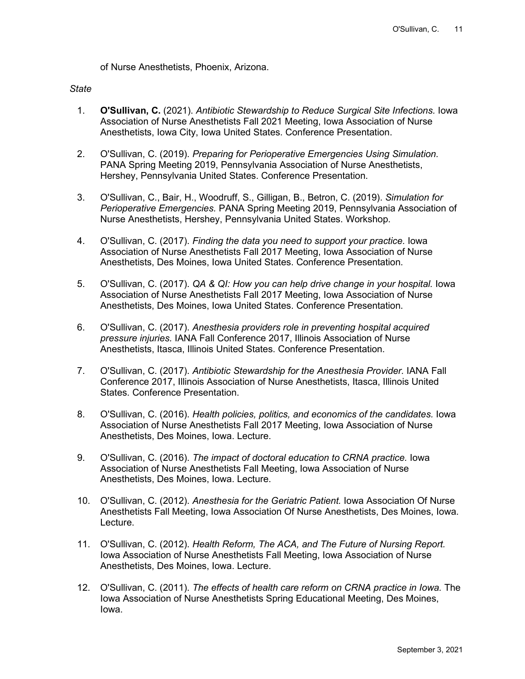of Nurse Anesthetists, Phoenix, Arizona.

#### *State*

- 1. **O'Sullivan, C.** (2021). *Antibiotic Stewardship to Reduce Surgical Site Infections.* Iowa Association of Nurse Anesthetists Fall 2021 Meeting, Iowa Association of Nurse Anesthetists, Iowa City, Iowa United States. Conference Presentation.
- 2. O'Sullivan, C. (2019). *Preparing for Perioperative Emergencies Using Simulation.* PANA Spring Meeting 2019, Pennsylvania Association of Nurse Anesthetists, Hershey, Pennsylvania United States. Conference Presentation.
- 3. O'Sullivan, C., Bair, H., Woodruff, S., Gilligan, B., Betron, C. (2019). *Simulation for Perioperative Emergencies.* PANA Spring Meeting 2019, Pennsylvania Association of Nurse Anesthetists, Hershey, Pennsylvania United States. Workshop.
- 4. O'Sullivan, C. (2017). *Finding the data you need to support your practice.* Iowa Association of Nurse Anesthetists Fall 2017 Meeting, Iowa Association of Nurse Anesthetists, Des Moines, Iowa United States. Conference Presentation.
- 5. O'Sullivan, C. (2017). *QA & QI: How you can help drive change in your hospital.* Iowa Association of Nurse Anesthetists Fall 2017 Meeting, Iowa Association of Nurse Anesthetists, Des Moines, Iowa United States. Conference Presentation.
- 6. O'Sullivan, C. (2017). *Anesthesia providers role in preventing hospital acquired pressure injuries.* IANA Fall Conference 2017, Illinois Association of Nurse Anesthetists, Itasca, Illinois United States. Conference Presentation.
- 7. O'Sullivan, C. (2017). *Antibiotic Stewardship for the Anesthesia Provider.* IANA Fall Conference 2017, Illinois Association of Nurse Anesthetists, Itasca, Illinois United States. Conference Presentation.
- 8. O'Sullivan, C. (2016). *Health policies, politics, and economics of the candidates.* Iowa Association of Nurse Anesthetists Fall 2017 Meeting, Iowa Association of Nurse Anesthetists, Des Moines, Iowa. Lecture.
- 9. O'Sullivan, C. (2016). *The impact of doctoral education to CRNA practice.* Iowa Association of Nurse Anesthetists Fall Meeting, Iowa Association of Nurse Anesthetists, Des Moines, Iowa. Lecture.
- 10. O'Sullivan, C. (2012). *Anesthesia for the Geriatric Patient.* Iowa Association Of Nurse Anesthetists Fall Meeting, Iowa Association Of Nurse Anesthetists, Des Moines, Iowa. Lecture.
- 11. O'Sullivan, C. (2012). *Health Reform, The ACA, and The Future of Nursing Report.* Iowa Association of Nurse Anesthetists Fall Meeting, Iowa Association of Nurse Anesthetists, Des Moines, Iowa. Lecture.
- 12. O'Sullivan, C. (2011). *The effects of health care reform on CRNA practice in Iowa.* The Iowa Association of Nurse Anesthetists Spring Educational Meeting, Des Moines, Iowa.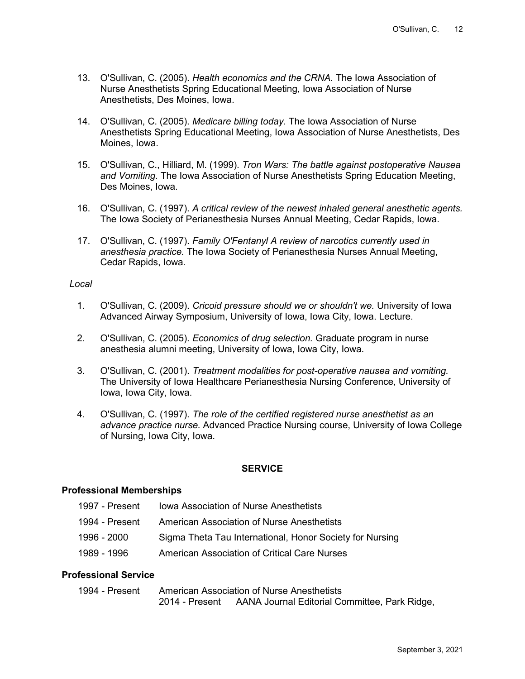- 13. O'Sullivan, C. (2005). *Health economics and the CRNA.* The Iowa Association of Nurse Anesthetists Spring Educational Meeting, Iowa Association of Nurse Anesthetists, Des Moines, Iowa.
- 14. O'Sullivan, C. (2005). *Medicare billing today.* The Iowa Association of Nurse Anesthetists Spring Educational Meeting, Iowa Association of Nurse Anesthetists, Des Moines, Iowa.
- 15. O'Sullivan, C., Hilliard, M. (1999). *Tron Wars: The battle against postoperative Nausea and Vomiting.* The Iowa Association of Nurse Anesthetists Spring Education Meeting, Des Moines, Iowa.
- 16. O'Sullivan, C. (1997). *A critical review of the newest inhaled general anesthetic agents.* The Iowa Society of Perianesthesia Nurses Annual Meeting, Cedar Rapids, Iowa.
- 17. O'Sullivan, C. (1997). *Family O'Fentanyl A review of narcotics currently used in anesthesia practice.* The Iowa Society of Perianesthesia Nurses Annual Meeting, Cedar Rapids, Iowa.

### *Local*

- 1. O'Sullivan, C. (2009). *Cricoid pressure should we or shouldn't we.* University of Iowa Advanced Airway Symposium, University of Iowa, Iowa City, Iowa. Lecture.
- 2. O'Sullivan, C. (2005). *Economics of drug selection.* Graduate program in nurse anesthesia alumni meeting, University of Iowa, Iowa City, Iowa.
- 3. O'Sullivan, C. (2001). *Treatment modalities for post-operative nausea and vomiting.* The University of Iowa Healthcare Perianesthesia Nursing Conference, University of Iowa, Iowa City, Iowa.
- 4. O'Sullivan, C. (1997). *The role of the certified registered nurse anesthetist as an advance practice nurse.* Advanced Practice Nursing course, University of Iowa College of Nursing, Iowa City, Iowa.

### **SERVICE**

### **Professional Memberships**

- 1997 Present lowa Association of Nurse Anesthetists
- 1994 Present American Association of Nurse Anesthetists
- 1996 2000 Sigma Theta Tau International, Honor Society for Nursing
- 1989 1996 American Association of Critical Care Nurses

### **Professional Service**

1994 - Present American Association of Nurse Anesthetists 2014 - Present AANA Journal Editorial Committee, Park Ridge,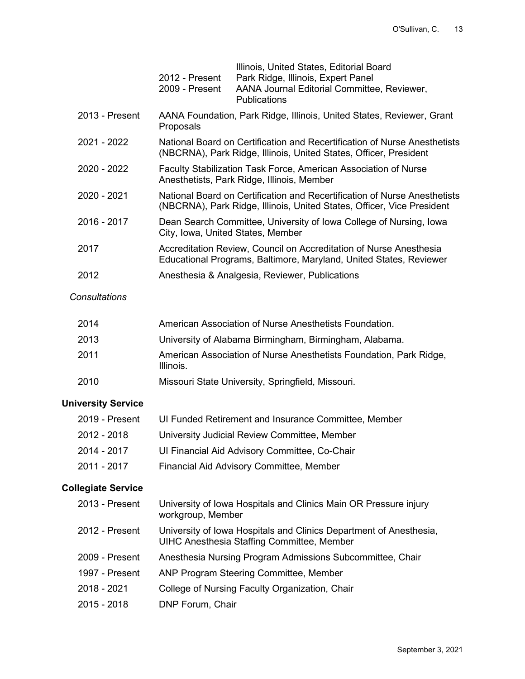|                | 2012 - Present<br>2009 - Present  | Illinois, United States, Editorial Board<br>Park Ridge, Illinois, Expert Panel<br>AANA Journal Editorial Committee, Reviewer,<br><b>Publications</b> |
|----------------|-----------------------------------|------------------------------------------------------------------------------------------------------------------------------------------------------|
| 2013 - Present | Proposals                         | AANA Foundation, Park Ridge, Illinois, United States, Reviewer, Grant                                                                                |
| 2021 - 2022    |                                   | National Board on Certification and Recertification of Nurse Anesthetists<br>(NBCRNA), Park Ridge, Illinois, United States, Officer, President       |
| 2020 - 2022    |                                   | Faculty Stabilization Task Force, American Association of Nurse<br>Anesthetists, Park Ridge, Illinois, Member                                        |
| 2020 - 2021    |                                   | National Board on Certification and Recertification of Nurse Anesthetists<br>(NBCRNA), Park Ridge, Illinois, United States, Officer, Vice President  |
| 2016 - 2017    | City, Iowa, United States, Member | Dean Search Committee, University of Iowa College of Nursing, Iowa                                                                                   |
| 2017           |                                   | Accreditation Review, Council on Accreditation of Nurse Anesthesia<br>Educational Programs, Baltimore, Maryland, United States, Reviewer             |
| 2012           |                                   | Anesthesia & Analgesia, Reviewer, Publications                                                                                                       |

#### *Consultations*

| 2014 | American Association of Nurse Anesthetists Foundation.                          |
|------|---------------------------------------------------------------------------------|
| 2013 | University of Alabama Birmingham, Birmingham, Alabama.                          |
| 2011 | American Association of Nurse Anesthetists Foundation, Park Ridge,<br>Illinois. |
| 2010 | Missouri State University, Springfield, Missouri.                               |

# **University Service**

| 2019 - Present | UI Funded Retirement and Insurance Committee, Member |
|----------------|------------------------------------------------------|
| 2012 - 2018    | University Judicial Review Committee, Member         |
| 2014 - 2017    | UI Financial Aid Advisory Committee, Co-Chair        |
| 2011 - 2017    | Financial Aid Advisory Committee, Member             |

# **Collegiate Service**

| 2013 - Present | University of Iowa Hospitals and Clinics Main OR Pressure injury<br>workgroup, Member                                   |
|----------------|-------------------------------------------------------------------------------------------------------------------------|
| 2012 - Present | University of Iowa Hospitals and Clinics Department of Anesthesia,<br><b>UIHC Anesthesia Staffing Committee, Member</b> |
| 2009 - Present | Anesthesia Nursing Program Admissions Subcommittee, Chair                                                               |
| 1997 - Present | ANP Program Steering Committee, Member                                                                                  |
| 2018 - 2021    | College of Nursing Faculty Organization, Chair                                                                          |
| 2015 - 2018    | DNP Forum, Chair                                                                                                        |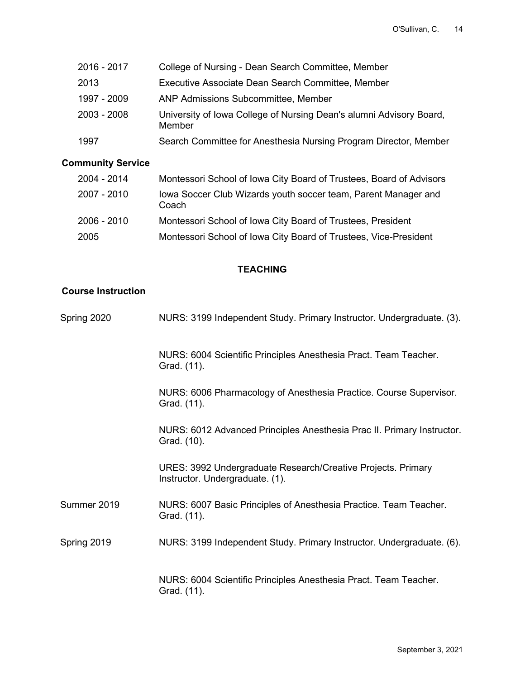| 2016 - 2017 | College of Nursing - Dean Search Committee, Member                            |
|-------------|-------------------------------------------------------------------------------|
| 2013        | Executive Associate Dean Search Committee, Member                             |
| 1997 - 2009 | <b>ANP Admissions Subcommittee, Member</b>                                    |
| 2003 - 2008 | University of Iowa College of Nursing Dean's alumni Advisory Board,<br>Member |
| 1997        | Search Committee for Anesthesia Nursing Program Director, Member              |

# **Community Service**

| 2004 - 2014 | Montessori School of Iowa City Board of Trustees, Board of Advisors     |
|-------------|-------------------------------------------------------------------------|
| 2007 - 2010 | Iowa Soccer Club Wizards youth soccer team, Parent Manager and<br>Coach |
| 2006 - 2010 | Montessori School of Iowa City Board of Trustees, President             |
| 2005        | Montessori School of Iowa City Board of Trustees, Vice-President        |

## **TEACHING**

# **Course Instruction**

| Spring 2020 | NURS: 3199 Independent Study. Primary Instructor. Undergraduate. (3).                           |
|-------------|-------------------------------------------------------------------------------------------------|
|             | NURS: 6004 Scientific Principles Anesthesia Pract. Team Teacher.<br>Grad. (11).                 |
|             | NURS: 6006 Pharmacology of Anesthesia Practice. Course Supervisor.<br>Grad. (11).               |
|             | NURS: 6012 Advanced Principles Anesthesia Prac II. Primary Instructor.<br>Grad. (10).           |
|             | URES: 3992 Undergraduate Research/Creative Projects. Primary<br>Instructor. Undergraduate. (1). |
| Summer 2019 | NURS: 6007 Basic Principles of Anesthesia Practice. Team Teacher.<br>Grad. (11).                |
| Spring 2019 | NURS: 3199 Independent Study. Primary Instructor. Undergraduate. (6).                           |
|             | NURS: 6004 Scientific Principles Anesthesia Pract. Team Teacher.<br>Grad. (11).                 |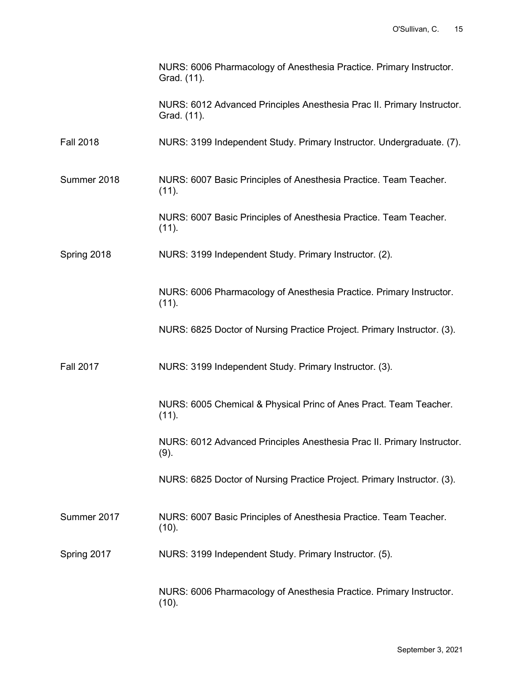|                  | NURS: 6006 Pharmacology of Anesthesia Practice. Primary Instructor.<br>Grad. (11).    |
|------------------|---------------------------------------------------------------------------------------|
|                  | NURS: 6012 Advanced Principles Anesthesia Prac II. Primary Instructor.<br>Grad. (11). |
| <b>Fall 2018</b> | NURS: 3199 Independent Study. Primary Instructor. Undergraduate. (7).                 |
| Summer 2018      | NURS: 6007 Basic Principles of Anesthesia Practice. Team Teacher.<br>(11).            |
|                  | NURS: 6007 Basic Principles of Anesthesia Practice. Team Teacher.<br>(11).            |
| Spring 2018      | NURS: 3199 Independent Study. Primary Instructor. (2).                                |
|                  | NURS: 6006 Pharmacology of Anesthesia Practice. Primary Instructor.<br>(11).          |
|                  | NURS: 6825 Doctor of Nursing Practice Project. Primary Instructor. (3).               |
| <b>Fall 2017</b> | NURS: 3199 Independent Study. Primary Instructor. (3).                                |
|                  | NURS: 6005 Chemical & Physical Princ of Anes Pract. Team Teacher.<br>(11).            |
|                  | NURS: 6012 Advanced Principles Anesthesia Prac II. Primary Instructor.<br>$(9)$ .     |
|                  | NURS: 6825 Doctor of Nursing Practice Project. Primary Instructor. (3).               |
| Summer 2017      | NURS: 6007 Basic Principles of Anesthesia Practice. Team Teacher.<br>(10).            |
| Spring 2017      | NURS: 3199 Independent Study. Primary Instructor. (5).                                |
|                  | NURS: 6006 Pharmacology of Anesthesia Practice. Primary Instructor.<br>(10).          |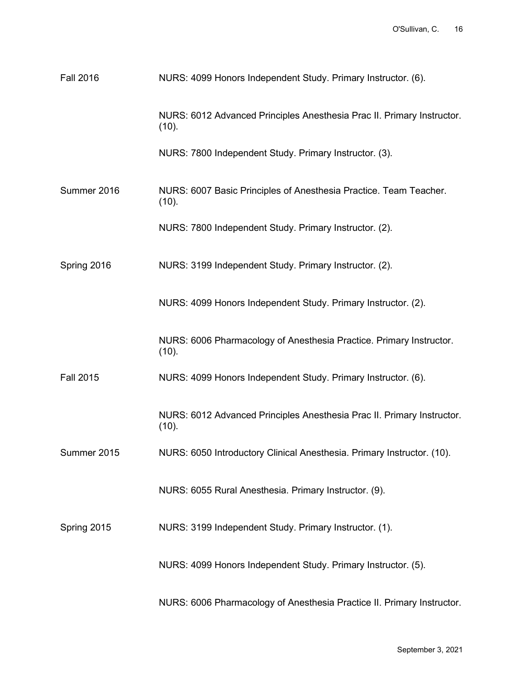| <b>Fall 2016</b> | NURS: 4099 Honors Independent Study. Primary Instructor. (6).                   |
|------------------|---------------------------------------------------------------------------------|
|                  | NURS: 6012 Advanced Principles Anesthesia Prac II. Primary Instructor.<br>(10). |
|                  | NURS: 7800 Independent Study. Primary Instructor. (3).                          |
| Summer 2016      | NURS: 6007 Basic Principles of Anesthesia Practice. Team Teacher.<br>(10).      |
|                  | NURS: 7800 Independent Study. Primary Instructor. (2).                          |
| Spring 2016      | NURS: 3199 Independent Study. Primary Instructor. (2).                          |
|                  | NURS: 4099 Honors Independent Study. Primary Instructor. (2).                   |
|                  | NURS: 6006 Pharmacology of Anesthesia Practice. Primary Instructor.<br>(10).    |
| <b>Fall 2015</b> | NURS: 4099 Honors Independent Study. Primary Instructor. (6).                   |
|                  | NURS: 6012 Advanced Principles Anesthesia Prac II. Primary Instructor.<br>(10). |
| Summer 2015      | NURS: 6050 Introductory Clinical Anesthesia. Primary Instructor. (10).          |
|                  | NURS: 6055 Rural Anesthesia. Primary Instructor. (9).                           |
| Spring 2015      | NURS: 3199 Independent Study. Primary Instructor. (1).                          |
|                  | NURS: 4099 Honors Independent Study. Primary Instructor. (5).                   |
|                  | NURS: 6006 Pharmacology of Anesthesia Practice II. Primary Instructor.          |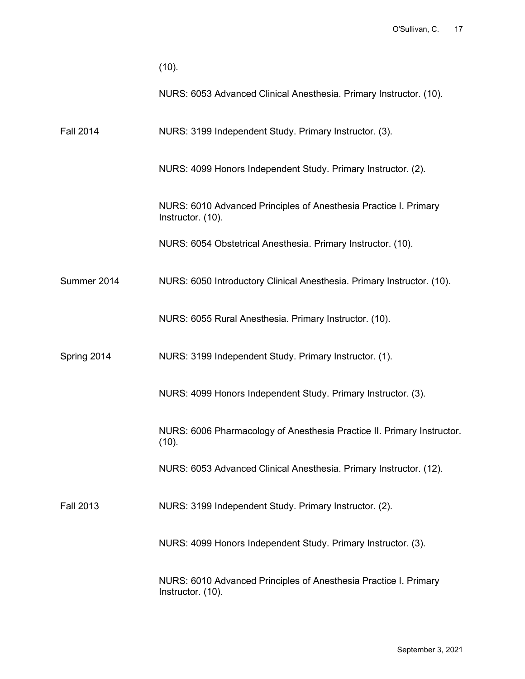|                  | (10).                                                                                 |
|------------------|---------------------------------------------------------------------------------------|
|                  | NURS: 6053 Advanced Clinical Anesthesia. Primary Instructor. (10).                    |
| <b>Fall 2014</b> | NURS: 3199 Independent Study. Primary Instructor. (3).                                |
|                  | NURS: 4099 Honors Independent Study. Primary Instructor. (2).                         |
|                  | NURS: 6010 Advanced Principles of Anesthesia Practice I. Primary<br>Instructor. (10). |
|                  | NURS: 6054 Obstetrical Anesthesia. Primary Instructor. (10).                          |
| Summer 2014      | NURS: 6050 Introductory Clinical Anesthesia. Primary Instructor. (10).                |
|                  | NURS: 6055 Rural Anesthesia. Primary Instructor. (10).                                |
| Spring 2014      | NURS: 3199 Independent Study. Primary Instructor. (1).                                |
|                  | NURS: 4099 Honors Independent Study. Primary Instructor. (3).                         |
|                  | NURS: 6006 Pharmacology of Anesthesia Practice II. Primary Instructor.<br>(10).       |
|                  | NURS: 6053 Advanced Clinical Anesthesia. Primary Instructor. (12).                    |
| <b>Fall 2013</b> | NURS: 3199 Independent Study. Primary Instructor. (2).                                |
|                  | NURS: 4099 Honors Independent Study. Primary Instructor. (3).                         |
|                  | NURS: 6010 Advanced Principles of Anesthesia Practice I. Primary<br>Instructor. (10). |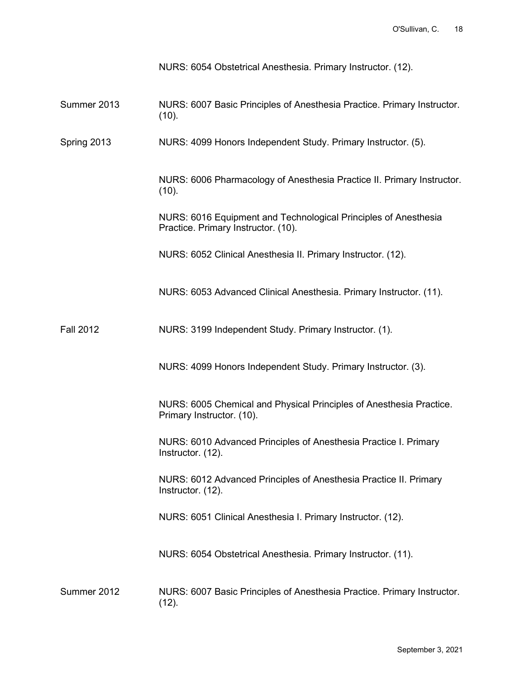|                  | NURS: 6054 Obstetrical Anesthesia. Primary Instructor. (12).                                           |
|------------------|--------------------------------------------------------------------------------------------------------|
| Summer 2013      | NURS: 6007 Basic Principles of Anesthesia Practice. Primary Instructor.<br>(10).                       |
| Spring 2013      | NURS: 4099 Honors Independent Study. Primary Instructor. (5).                                          |
|                  | NURS: 6006 Pharmacology of Anesthesia Practice II. Primary Instructor.<br>(10).                        |
|                  | NURS: 6016 Equipment and Technological Principles of Anesthesia<br>Practice. Primary Instructor. (10). |
|                  | NURS: 6052 Clinical Anesthesia II. Primary Instructor. (12).                                           |
|                  | NURS: 6053 Advanced Clinical Anesthesia. Primary Instructor. (11).                                     |
| <b>Fall 2012</b> | NURS: 3199 Independent Study. Primary Instructor. (1).                                                 |
|                  | NURS: 4099 Honors Independent Study. Primary Instructor. (3).                                          |
|                  | NURS: 6005 Chemical and Physical Principles of Anesthesia Practice.<br>Primary Instructor. (10).       |
|                  | NURS: 6010 Advanced Principles of Anesthesia Practice I. Primary<br>Instructor. (12).                  |
|                  | NURS: 6012 Advanced Principles of Anesthesia Practice II. Primary<br>Instructor. (12).                 |
|                  | NURS: 6051 Clinical Anesthesia I. Primary Instructor. (12).                                            |
|                  | NURS: 6054 Obstetrical Anesthesia. Primary Instructor. (11).                                           |
| Summer 2012      | NURS: 6007 Basic Principles of Anesthesia Practice. Primary Instructor.<br>(12).                       |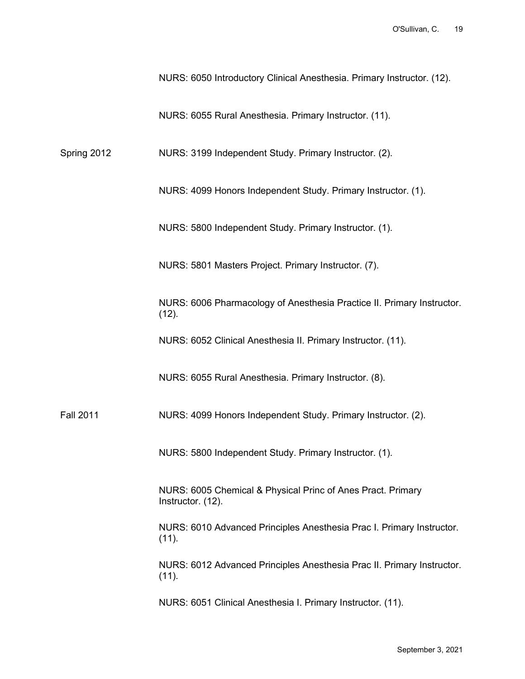NURS: 6050 Introductory Clinical Anesthesia. Primary Instructor. (12).

NURS: 6055 Rural Anesthesia. Primary Instructor. (11).

Spring 2012 NURS: 3199 Independent Study. Primary Instructor. (2).

NURS: 4099 Honors Independent Study. Primary Instructor. (1).

NURS: 5800 Independent Study. Primary Instructor. (1).

NURS: 5801 Masters Project. Primary Instructor. (7).

NURS: 6006 Pharmacology of Anesthesia Practice II. Primary Instructor.  $(12)$ .

NURS: 6052 Clinical Anesthesia II. Primary Instructor. (11).

NURS: 6055 Rural Anesthesia. Primary Instructor. (8).

Fall 2011 NURS: 4099 Honors Independent Study. Primary Instructor. (2).

NURS: 5800 Independent Study. Primary Instructor. (1).

NURS: 6005 Chemical & Physical Princ of Anes Pract. Primary Instructor. (12).

NURS: 6010 Advanced Principles Anesthesia Prac I. Primary Instructor.  $(11)$ .

NURS: 6012 Advanced Principles Anesthesia Prac II. Primary Instructor. (11).

NURS: 6051 Clinical Anesthesia I. Primary Instructor. (11).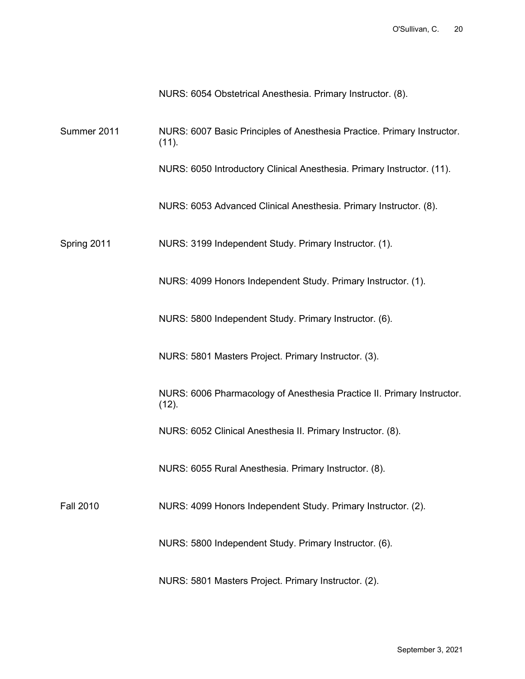NURS: 6054 Obstetrical Anesthesia. Primary Instructor. (8).

Summer 2011 NURS: 6007 Basic Principles of Anesthesia Practice. Primary Instructor. (11).

NURS: 6050 Introductory Clinical Anesthesia. Primary Instructor. (11).

NURS: 6053 Advanced Clinical Anesthesia. Primary Instructor. (8).

Spring 2011 NURS: 3199 Independent Study. Primary Instructor. (1).

NURS: 4099 Honors Independent Study. Primary Instructor. (1).

NURS: 5800 Independent Study. Primary Instructor. (6).

NURS: 5801 Masters Project. Primary Instructor. (3).

NURS: 6006 Pharmacology of Anesthesia Practice II. Primary Instructor.  $(12)$ .

NURS: 6052 Clinical Anesthesia II. Primary Instructor. (8).

NURS: 6055 Rural Anesthesia. Primary Instructor. (8).

Fall 2010 NURS: 4099 Honors Independent Study. Primary Instructor. (2).

NURS: 5800 Independent Study. Primary Instructor. (6).

NURS: 5801 Masters Project. Primary Instructor. (2).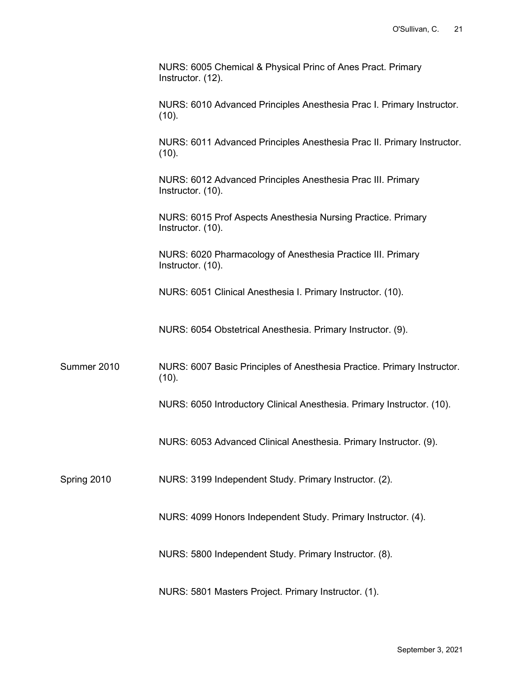|             | NURS: 6005 Chemical & Physical Princ of Anes Pract. Primary<br>Instructor. (12).  |
|-------------|-----------------------------------------------------------------------------------|
|             | NURS: 6010 Advanced Principles Anesthesia Prac I. Primary Instructor.<br>(10).    |
|             | NURS: 6011 Advanced Principles Anesthesia Prac II. Primary Instructor.<br>(10).   |
|             | NURS: 6012 Advanced Principles Anesthesia Prac III. Primary<br>Instructor. (10).  |
|             | NURS: 6015 Prof Aspects Anesthesia Nursing Practice. Primary<br>Instructor. (10). |
|             | NURS: 6020 Pharmacology of Anesthesia Practice III. Primary<br>Instructor. (10).  |
|             | NURS: 6051 Clinical Anesthesia I. Primary Instructor. (10).                       |
|             | NURS: 6054 Obstetrical Anesthesia. Primary Instructor. (9).                       |
| Summer 2010 | NURS: 6007 Basic Principles of Anesthesia Practice. Primary Instructor.<br>(10).  |
|             | NURS: 6050 Introductory Clinical Anesthesia. Primary Instructor. (10).            |
|             | NURS: 6053 Advanced Clinical Anesthesia. Primary Instructor. (9).                 |
| Spring 2010 | NURS: 3199 Independent Study. Primary Instructor. (2).                            |
|             | NURS: 4099 Honors Independent Study. Primary Instructor. (4).                     |
|             | NURS: 5800 Independent Study. Primary Instructor. (8).                            |
|             | NURS: 5801 Masters Project. Primary Instructor. (1).                              |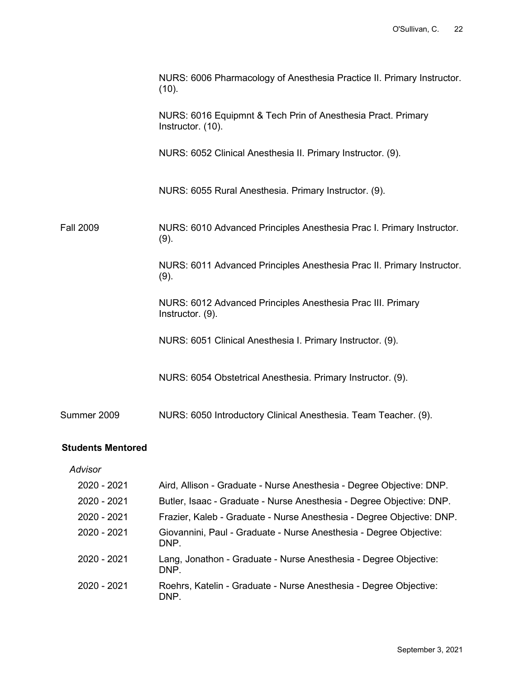|                  | NURS: 6006 Pharmacology of Anesthesia Practice II. Primary Instructor.<br>(10).   |
|------------------|-----------------------------------------------------------------------------------|
|                  | NURS: 6016 Equipmnt & Tech Prin of Anesthesia Pract. Primary<br>Instructor. (10). |
|                  | NURS: 6052 Clinical Anesthesia II. Primary Instructor. (9).                       |
|                  | NURS: 6055 Rural Anesthesia. Primary Instructor. (9).                             |
| <b>Fall 2009</b> | NURS: 6010 Advanced Principles Anesthesia Prac I. Primary Instructor.<br>(9).     |
|                  | NURS: 6011 Advanced Principles Anesthesia Prac II. Primary Instructor.<br>(9).    |
|                  | NURS: 6012 Advanced Principles Anesthesia Prac III. Primary<br>Instructor. (9).   |
|                  | NURS: 6051 Clinical Anesthesia I. Primary Instructor. (9).                        |
|                  | NURS: 6054 Obstetrical Anesthesia. Primary Instructor. (9).                       |
| Summer 2009      | NURS: 6050 Introductory Clinical Anesthesia. Team Teacher. (9).                   |

### **Students Mentored**

### *Advisor*

| 2020 - 2021 | Aird, Allison - Graduate - Nurse Anesthesia - Degree Objective: DNP.       |
|-------------|----------------------------------------------------------------------------|
| 2020 - 2021 | Butler, Isaac - Graduate - Nurse Anesthesia - Degree Objective: DNP.       |
| 2020 - 2021 | Frazier, Kaleb - Graduate - Nurse Anesthesia - Degree Objective: DNP.      |
| 2020 - 2021 | Giovannini, Paul - Graduate - Nurse Anesthesia - Degree Objective:<br>DNP. |
| 2020 - 2021 | Lang, Jonathon - Graduate - Nurse Anesthesia - Degree Objective:<br>DNP.   |
| 2020 - 2021 | Roehrs, Katelin - Graduate - Nurse Anesthesia - Degree Objective:<br>DNP.  |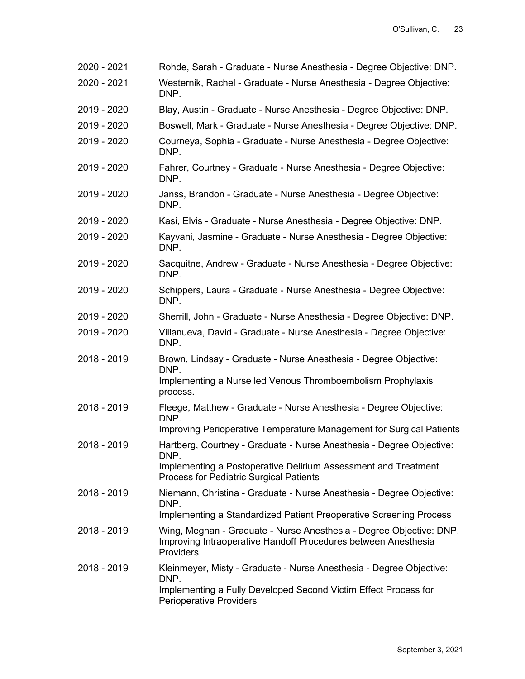2020 - 2021 Rohde, Sarah - Graduate - Nurse Anesthesia - Degree Objective: DNP. 2020 - 2021 Westernik, Rachel - Graduate - Nurse Anesthesia - Degree Objective: DNP. 2019 - 2020 Blay, Austin - Graduate - Nurse Anesthesia - Degree Objective: DNP. 2019 - 2020 Boswell, Mark - Graduate - Nurse Anesthesia - Degree Objective: DNP. 2019 - 2020 Courneya, Sophia - Graduate - Nurse Anesthesia - Degree Objective: DNP. 2019 - 2020 Fahrer, Courtney - Graduate - Nurse Anesthesia - Degree Objective: DNP. 2019 - 2020 Janss, Brandon - Graduate - Nurse Anesthesia - Degree Objective: DNP. 2019 - 2020 Kasi, Elvis - Graduate - Nurse Anesthesia - Degree Objective: DNP. 2019 - 2020 Kayvani, Jasmine - Graduate - Nurse Anesthesia - Degree Objective: DNP. 2019 - 2020 Sacquitne, Andrew - Graduate - Nurse Anesthesia - Degree Objective: DNP. 2019 - 2020 Schippers, Laura - Graduate - Nurse Anesthesia - Degree Objective: DNP. 2019 - 2020 Sherrill, John - Graduate - Nurse Anesthesia - Degree Objective: DNP. 2019 - 2020 Villanueva, David - Graduate - Nurse Anesthesia - Degree Objective: DNP. 2018 - 2019 Brown, Lindsay - Graduate - Nurse Anesthesia - Degree Objective: DNP. Implementing a Nurse led Venous Thromboembolism Prophylaxis process. 2018 - 2019 Fleege, Matthew - Graduate - Nurse Anesthesia - Degree Objective: DNP. Improving Perioperative Temperature Management for Surgical Patients 2018 - 2019 Hartberg, Courtney - Graduate - Nurse Anesthesia - Degree Objective: DNP. Implementing a Postoperative Delirium Assessment and Treatment Process for Pediatric Surgical Patients 2018 - 2019 Niemann, Christina - Graduate - Nurse Anesthesia - Degree Objective: DNP. Implementing a Standardized Patient Preoperative Screening Process 2018 - 2019 Wing, Meghan - Graduate - Nurse Anesthesia - Degree Objective: DNP. Improving Intraoperative Handoff Procedures between Anesthesia **Providers** 2018 - 2019 Kleinmeyer, Misty - Graduate - Nurse Anesthesia - Degree Objective: DNP. Implementing a Fully Developed Second Victim Effect Process for Perioperative Providers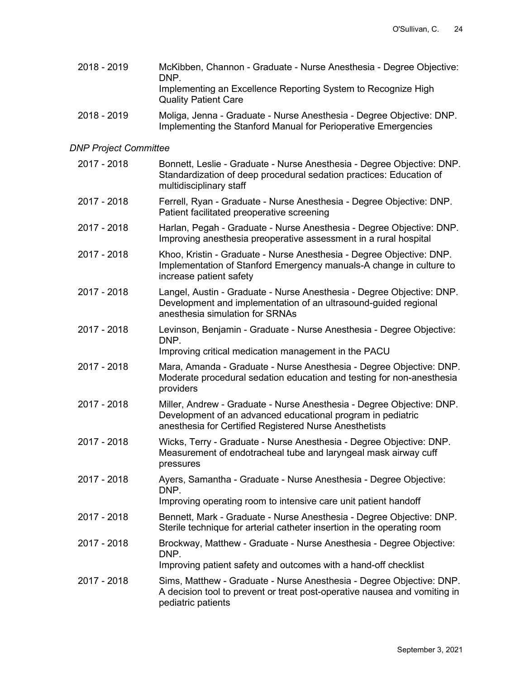2018 - 2019 McKibben, Channon - Graduate - Nurse Anesthesia - Degree Objective: DNP. Implementing an Excellence Reporting System to Recognize High Quality Patient Care 2018 - 2019 Moliga, Jenna - Graduate - Nurse Anesthesia - Degree Objective: DNP.

Implementing the Stanford Manual for Perioperative Emergencies

## *DNP Project Committee*

| 2017 - 2018 | Bonnett, Leslie - Graduate - Nurse Anesthesia - Degree Objective: DNP.<br>Standardization of deep procedural sedation practices: Education of<br>multidisciplinary staff                       |
|-------------|------------------------------------------------------------------------------------------------------------------------------------------------------------------------------------------------|
| 2017 - 2018 | Ferrell, Ryan - Graduate - Nurse Anesthesia - Degree Objective: DNP.<br>Patient facilitated preoperative screening                                                                             |
| 2017 - 2018 | Harlan, Pegah - Graduate - Nurse Anesthesia - Degree Objective: DNP.<br>Improving anesthesia preoperative assessment in a rural hospital                                                       |
| 2017 - 2018 | Khoo, Kristin - Graduate - Nurse Anesthesia - Degree Objective: DNP.<br>Implementation of Stanford Emergency manuals-A change in culture to<br>increase patient safety                         |
| 2017 - 2018 | Langel, Austin - Graduate - Nurse Anesthesia - Degree Objective: DNP.<br>Development and implementation of an ultrasound-guided regional<br>anesthesia simulation for SRNAs                    |
| 2017 - 2018 | Levinson, Benjamin - Graduate - Nurse Anesthesia - Degree Objective:<br>DNP.<br>Improving critical medication management in the PACU                                                           |
| 2017 - 2018 | Mara, Amanda - Graduate - Nurse Anesthesia - Degree Objective: DNP.<br>Moderate procedural sedation education and testing for non-anesthesia<br>providers                                      |
| 2017 - 2018 | Miller, Andrew - Graduate - Nurse Anesthesia - Degree Objective: DNP.<br>Development of an advanced educational program in pediatric<br>anesthesia for Certified Registered Nurse Anesthetists |
| 2017 - 2018 | Wicks, Terry - Graduate - Nurse Anesthesia - Degree Objective: DNP.<br>Measurement of endotracheal tube and laryngeal mask airway cuff<br>pressures                                            |
| 2017 - 2018 | Ayers, Samantha - Graduate - Nurse Anesthesia - Degree Objective:<br>DNP.<br>Improving operating room to intensive care unit patient handoff                                                   |
| 2017 - 2018 | Bennett, Mark - Graduate - Nurse Anesthesia - Degree Objective: DNP.<br>Sterile technique for arterial catheter insertion in the operating room                                                |
| 2017 - 2018 | Brockway, Matthew - Graduate - Nurse Anesthesia - Degree Objective:<br>DNP.                                                                                                                    |
|             | Improving patient safety and outcomes with a hand-off checklist                                                                                                                                |
| 2017 - 2018 | Sims, Matthew - Graduate - Nurse Anesthesia - Degree Objective: DNP.<br>A decision tool to prevent or treat post-operative nausea and vomiting in<br>pediatric patients                        |
|             |                                                                                                                                                                                                |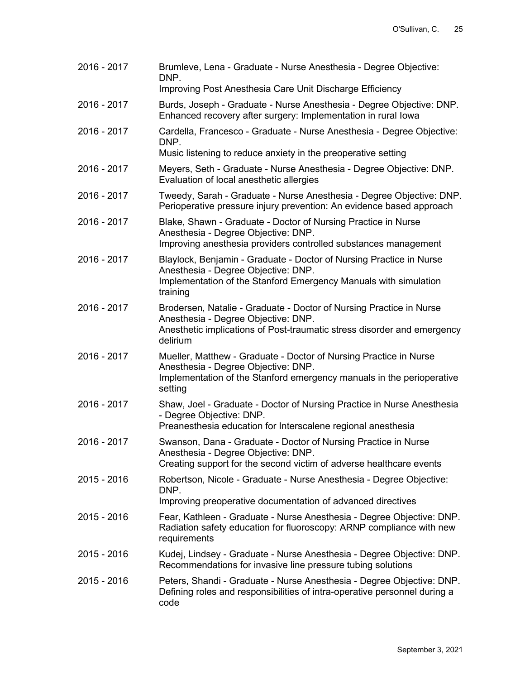| 2016 - 2017 | Brumleve, Lena - Graduate - Nurse Anesthesia - Degree Objective:<br>DNP.                                                                                                                          |
|-------------|---------------------------------------------------------------------------------------------------------------------------------------------------------------------------------------------------|
|             | Improving Post Anesthesia Care Unit Discharge Efficiency                                                                                                                                          |
| 2016 - 2017 | Burds, Joseph - Graduate - Nurse Anesthesia - Degree Objective: DNP.<br>Enhanced recovery after surgery: Implementation in rural lowa                                                             |
| 2016 - 2017 | Cardella, Francesco - Graduate - Nurse Anesthesia - Degree Objective:<br>DNP.                                                                                                                     |
|             | Music listening to reduce anxiety in the preoperative setting                                                                                                                                     |
| 2016 - 2017 | Meyers, Seth - Graduate - Nurse Anesthesia - Degree Objective: DNP.<br>Evaluation of local anesthetic allergies                                                                                   |
| 2016 - 2017 | Tweedy, Sarah - Graduate - Nurse Anesthesia - Degree Objective: DNP.<br>Perioperative pressure injury prevention: An evidence based approach                                                      |
| 2016 - 2017 | Blake, Shawn - Graduate - Doctor of Nursing Practice in Nurse<br>Anesthesia - Degree Objective: DNP.<br>Improving anesthesia providers controlled substances management                           |
| 2016 - 2017 | Blaylock, Benjamin - Graduate - Doctor of Nursing Practice in Nurse<br>Anesthesia - Degree Objective: DNP.<br>Implementation of the Stanford Emergency Manuals with simulation                    |
|             | training                                                                                                                                                                                          |
| 2016 - 2017 | Brodersen, Natalie - Graduate - Doctor of Nursing Practice in Nurse<br>Anesthesia - Degree Objective: DNP.<br>Anesthetic implications of Post-traumatic stress disorder and emergency<br>delirium |
| 2016 - 2017 | Mueller, Matthew - Graduate - Doctor of Nursing Practice in Nurse<br>Anesthesia - Degree Objective: DNP.<br>Implementation of the Stanford emergency manuals in the perioperative<br>setting      |
| 2016 - 2017 | Shaw, Joel - Graduate - Doctor of Nursing Practice in Nurse Anesthesia<br>- Degree Objective: DNP.<br>Preanesthesia education for Interscalene regional anesthesia                                |
| 2016 - 2017 | Swanson, Dana - Graduate - Doctor of Nursing Practice in Nurse<br>Anesthesia - Degree Objective: DNP.<br>Creating support for the second victim of adverse healthcare events                      |
| 2015 - 2016 | Robertson, Nicole - Graduate - Nurse Anesthesia - Degree Objective:<br>DNP.                                                                                                                       |
|             | Improving preoperative documentation of advanced directives                                                                                                                                       |
| 2015 - 2016 | Fear, Kathleen - Graduate - Nurse Anesthesia - Degree Objective: DNP.<br>Radiation safety education for fluoroscopy: ARNP compliance with new<br>requirements                                     |
| 2015 - 2016 | Kudej, Lindsey - Graduate - Nurse Anesthesia - Degree Objective: DNP.<br>Recommendations for invasive line pressure tubing solutions                                                              |
| 2015 - 2016 | Peters, Shandi - Graduate - Nurse Anesthesia - Degree Objective: DNP.<br>Defining roles and responsibilities of intra-operative personnel during a<br>code                                        |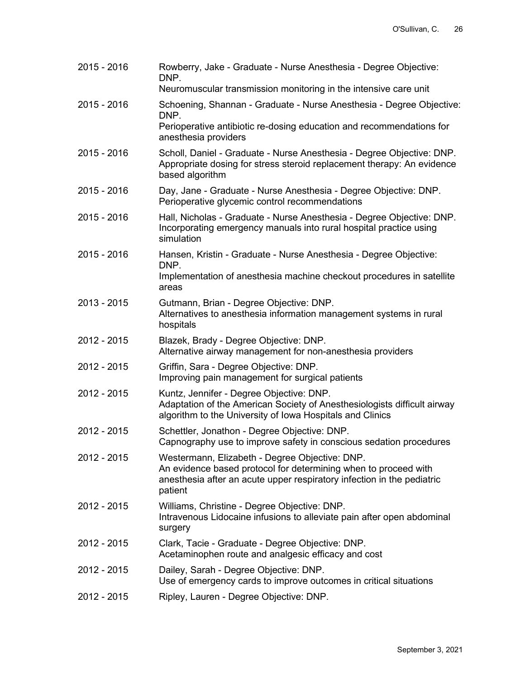| Rowberry, Jake - Graduate - Nurse Anesthesia - Degree Objective:<br>DNP.                                                                                                                               |
|--------------------------------------------------------------------------------------------------------------------------------------------------------------------------------------------------------|
| Neuromuscular transmission monitoring in the intensive care unit                                                                                                                                       |
| Schoening, Shannan - Graduate - Nurse Anesthesia - Degree Objective:<br>DNP.                                                                                                                           |
| Perioperative antibiotic re-dosing education and recommendations for<br>anesthesia providers                                                                                                           |
| Scholl, Daniel - Graduate - Nurse Anesthesia - Degree Objective: DNP.<br>Appropriate dosing for stress steroid replacement therapy: An evidence<br>based algorithm                                     |
| Day, Jane - Graduate - Nurse Anesthesia - Degree Objective: DNP.<br>Perioperative glycemic control recommendations                                                                                     |
| Hall, Nicholas - Graduate - Nurse Anesthesia - Degree Objective: DNP.<br>Incorporating emergency manuals into rural hospital practice using<br>simulation                                              |
| Hansen, Kristin - Graduate - Nurse Anesthesia - Degree Objective:                                                                                                                                      |
| DNP.<br>Implementation of anesthesia machine checkout procedures in satellite<br>areas                                                                                                                 |
| Gutmann, Brian - Degree Objective: DNP.<br>Alternatives to anesthesia information management systems in rural<br>hospitals                                                                             |
| Blazek, Brady - Degree Objective: DNP.<br>Alternative airway management for non-anesthesia providers                                                                                                   |
| Griffin, Sara - Degree Objective: DNP.<br>Improving pain management for surgical patients                                                                                                              |
| Kuntz, Jennifer - Degree Objective: DNP.<br>Adaptation of the American Society of Anesthesiologists difficult airway<br>algorithm to the University of Iowa Hospitals and Clinics                      |
| Schettler, Jonathon - Degree Objective: DNP.<br>Capnography use to improve safety in conscious sedation procedures                                                                                     |
| Westermann, Elizabeth - Degree Objective: DNP.<br>An evidence based protocol for determining when to proceed with<br>anesthesia after an acute upper respiratory infection in the pediatric<br>patient |
| Williams, Christine - Degree Objective: DNP.<br>Intravenous Lidocaine infusions to alleviate pain after open abdominal<br>surgery                                                                      |
| Clark, Tacie - Graduate - Degree Objective: DNP.<br>Acetaminophen route and analgesic efficacy and cost                                                                                                |
| Dailey, Sarah - Degree Objective: DNP.<br>Use of emergency cards to improve outcomes in critical situations                                                                                            |
| Ripley, Lauren - Degree Objective: DNP.                                                                                                                                                                |
|                                                                                                                                                                                                        |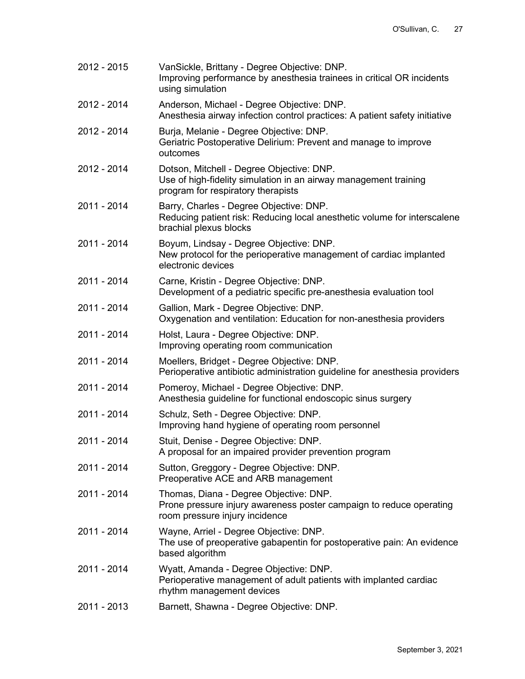| 2012 - 2015 | VanSickle, Brittany - Degree Objective: DNP.<br>Improving performance by anesthesia trainees in critical OR incidents<br>using simulation           |
|-------------|-----------------------------------------------------------------------------------------------------------------------------------------------------|
| 2012 - 2014 | Anderson, Michael - Degree Objective: DNP.<br>Anesthesia airway infection control practices: A patient safety initiative                            |
| 2012 - 2014 | Burja, Melanie - Degree Objective: DNP.<br>Geriatric Postoperative Delirium: Prevent and manage to improve<br>outcomes                              |
| 2012 - 2014 | Dotson, Mitchell - Degree Objective: DNP.<br>Use of high-fidelity simulation in an airway management training<br>program for respiratory therapists |
| 2011 - 2014 | Barry, Charles - Degree Objective: DNP.<br>Reducing patient risk: Reducing local anesthetic volume for interscalene<br>brachial plexus blocks       |
| 2011 - 2014 | Boyum, Lindsay - Degree Objective: DNP.<br>New protocol for the perioperative management of cardiac implanted<br>electronic devices                 |
| 2011 - 2014 | Carne, Kristin - Degree Objective: DNP.<br>Development of a pediatric specific pre-anesthesia evaluation tool                                       |
| 2011 - 2014 | Gallion, Mark - Degree Objective: DNP.<br>Oxygenation and ventilation: Education for non-anesthesia providers                                       |
| 2011 - 2014 | Holst, Laura - Degree Objective: DNP.<br>Improving operating room communication                                                                     |
| 2011 - 2014 | Moellers, Bridget - Degree Objective: DNP.<br>Perioperative antibiotic administration guideline for anesthesia providers                            |
| 2011 - 2014 | Pomeroy, Michael - Degree Objective: DNP.<br>Anesthesia guideline for functional endoscopic sinus surgery                                           |
| 2011 - 2014 | Schulz, Seth - Degree Objective: DNP.<br>Improving hand hygiene of operating room personnel                                                         |
| 2011 - 2014 | Stuit, Denise - Degree Objective: DNP.<br>A proposal for an impaired provider prevention program                                                    |
| 2011 - 2014 | Sutton, Greggory - Degree Objective: DNP.<br>Preoperative ACE and ARB management                                                                    |
| 2011 - 2014 | Thomas, Diana - Degree Objective: DNP.<br>Prone pressure injury awareness poster campaign to reduce operating<br>room pressure injury incidence     |
| 2011 - 2014 | Wayne, Arriel - Degree Objective: DNP.<br>The use of preoperative gabapentin for postoperative pain: An evidence<br>based algorithm                 |
| 2011 - 2014 | Wyatt, Amanda - Degree Objective: DNP.<br>Perioperative management of adult patients with implanted cardiac<br>rhythm management devices            |
| 2011 - 2013 | Barnett, Shawna - Degree Objective: DNP.                                                                                                            |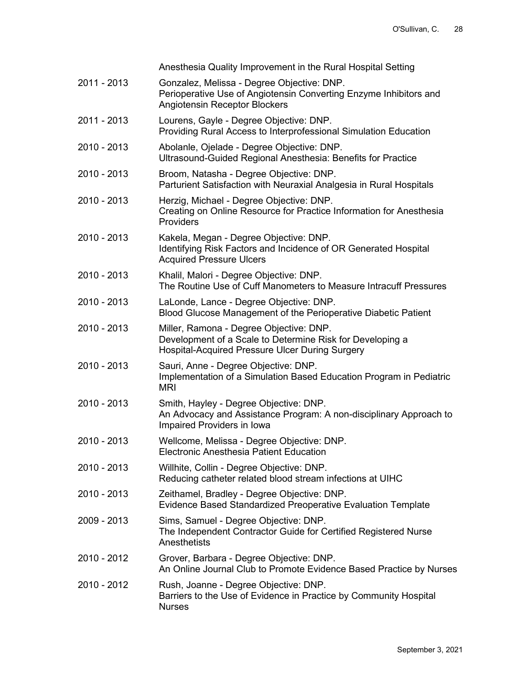|             | Anesthesia Quality Improvement in the Rural Hospital Setting                                                                                            |
|-------------|---------------------------------------------------------------------------------------------------------------------------------------------------------|
| 2011 - 2013 | Gonzalez, Melissa - Degree Objective: DNP.<br>Perioperative Use of Angiotensin Converting Enzyme Inhibitors and<br><b>Angiotensin Receptor Blockers</b> |
| 2011 - 2013 | Lourens, Gayle - Degree Objective: DNP.<br>Providing Rural Access to Interprofessional Simulation Education                                             |
| 2010 - 2013 | Abolanle, Ojelade - Degree Objective: DNP.<br>Ultrasound-Guided Regional Anesthesia: Benefits for Practice                                              |
| 2010 - 2013 | Broom, Natasha - Degree Objective: DNP.<br>Parturient Satisfaction with Neuraxial Analgesia in Rural Hospitals                                          |
| 2010 - 2013 | Herzig, Michael - Degree Objective: DNP.<br>Creating on Online Resource for Practice Information for Anesthesia<br>Providers                            |
| 2010 - 2013 | Kakela, Megan - Degree Objective: DNP.<br>Identifying Risk Factors and Incidence of OR Generated Hospital<br><b>Acquired Pressure Ulcers</b>            |
| 2010 - 2013 | Khalil, Malori - Degree Objective: DNP.<br>The Routine Use of Cuff Manometers to Measure Intracuff Pressures                                            |
| 2010 - 2013 | LaLonde, Lance - Degree Objective: DNP.<br>Blood Glucose Management of the Perioperative Diabetic Patient                                               |
| 2010 - 2013 | Miller, Ramona - Degree Objective: DNP.<br>Development of a Scale to Determine Risk for Developing a<br>Hospital-Acquired Pressure Ulcer During Surgery |
| 2010 - 2013 | Sauri, Anne - Degree Objective: DNP.<br>Implementation of a Simulation Based Education Program in Pediatric<br><b>MRI</b>                               |
| 2010 - 2013 | Smith, Hayley - Degree Objective: DNP.<br>An Advocacy and Assistance Program: A non-disciplinary Approach to<br>Impaired Providers in Iowa              |
| 2010 - 2013 | Wellcome, Melissa - Degree Objective: DNP.<br>Electronic Anesthesia Patient Education                                                                   |
| 2010 - 2013 | Willhite, Collin - Degree Objective: DNP.<br>Reducing catheter related blood stream infections at UIHC                                                  |
| 2010 - 2013 | Zeithamel, Bradley - Degree Objective: DNP.<br>Evidence Based Standardized Preoperative Evaluation Template                                             |
| 2009 - 2013 | Sims, Samuel - Degree Objective: DNP.<br>The Independent Contractor Guide for Certified Registered Nurse<br>Anesthetists                                |
| 2010 - 2012 | Grover, Barbara - Degree Objective: DNP.<br>An Online Journal Club to Promote Evidence Based Practice by Nurses                                         |
| 2010 - 2012 | Rush, Joanne - Degree Objective: DNP.<br>Barriers to the Use of Evidence in Practice by Community Hospital<br><b>Nurses</b>                             |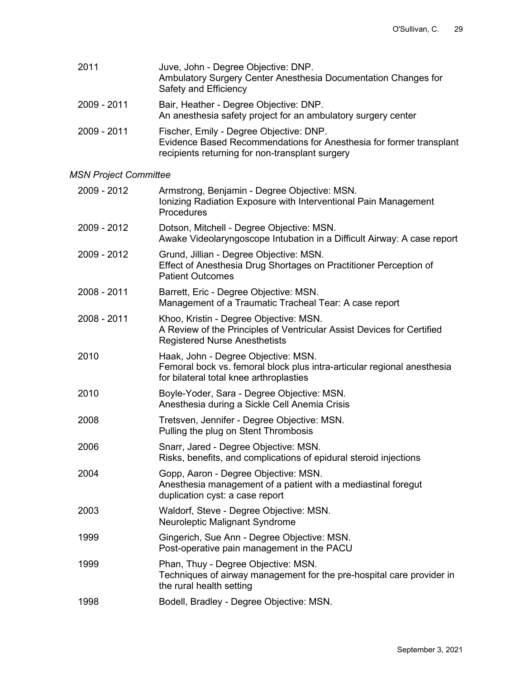| 2011        | Juve, John - Degree Objective: DNP.<br>Ambulatory Surgery Center Anesthesia Documentation Changes for<br>Safety and Efficiency                                    |
|-------------|-------------------------------------------------------------------------------------------------------------------------------------------------------------------|
| 2009 - 2011 | Bair, Heather - Degree Objective: DNP.<br>An anesthesia safety project for an ambulatory surgery center                                                           |
| 2009 - 2011 | Fischer, Emily - Degree Objective: DNP.<br>Evidence Based Recommendations for Anesthesia for former transplant<br>recipients returning for non-transplant surgery |

# *MSN Project Committee*

| Armstrong, Benjamin - Degree Objective: MSN.<br>Ionizing Radiation Exposure with Interventional Pain Management<br>Procedures                             |
|-----------------------------------------------------------------------------------------------------------------------------------------------------------|
| Dotson, Mitchell - Degree Objective: MSN.<br>Awake Videolaryngoscope Intubation in a Difficult Airway: A case report                                      |
| Grund, Jillian - Degree Objective: MSN.<br>Effect of Anesthesia Drug Shortages on Practitioner Perception of<br><b>Patient Outcomes</b>                   |
| Barrett, Eric - Degree Objective: MSN.<br>Management of a Traumatic Tracheal Tear: A case report                                                          |
| Khoo, Kristin - Degree Objective: MSN.<br>A Review of the Principles of Ventricular Assist Devices for Certified<br><b>Registered Nurse Anesthetists</b>  |
| Haak, John - Degree Objective: MSN.<br>Femoral bock vs. femoral block plus intra-articular regional anesthesia<br>for bilateral total knee arthroplasties |
| Boyle-Yoder, Sara - Degree Objective: MSN.<br>Anesthesia during a Sickle Cell Anemia Crisis                                                               |
| Tretsven, Jennifer - Degree Objective: MSN.<br>Pulling the plug on Stent Thrombosis                                                                       |
| Snarr, Jared - Degree Objective: MSN.<br>Risks, benefits, and complications of epidural steroid injections                                                |
| Gopp, Aaron - Degree Objective: MSN.<br>Anesthesia management of a patient with a mediastinal foregut<br>duplication cyst: a case report                  |
| Waldorf, Steve - Degree Objective: MSN.<br>Neuroleptic Malignant Syndrome                                                                                 |
| Gingerich, Sue Ann - Degree Objective: MSN.<br>Post-operative pain management in the PACU                                                                 |
| Phan, Thuy - Degree Objective: MSN.<br>Techniques of airway management for the pre-hospital care provider in<br>the rural health setting                  |
| Bodell, Bradley - Degree Objective: MSN.                                                                                                                  |
|                                                                                                                                                           |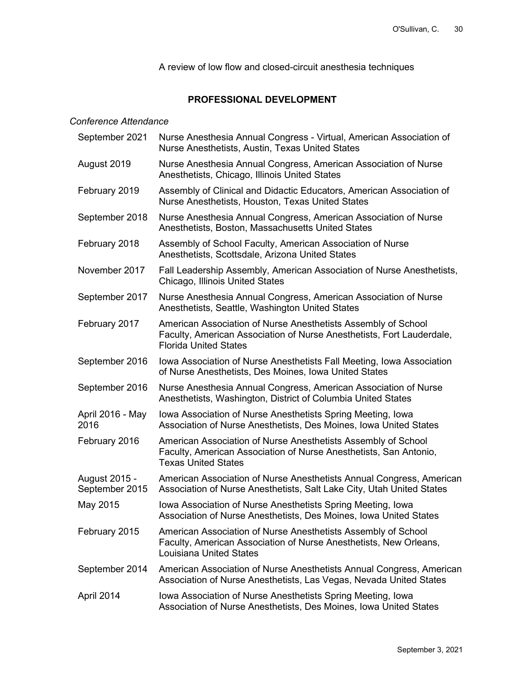A review of low flow and closed-circuit anesthesia techniques

# **PROFESSIONAL DEVELOPMENT**

## *Conference Attendance*

| September 2021                  | Nurse Anesthesia Annual Congress - Virtual, American Association of<br>Nurse Anesthetists, Austin, Texas United States                                                 |
|---------------------------------|------------------------------------------------------------------------------------------------------------------------------------------------------------------------|
| August 2019                     | Nurse Anesthesia Annual Congress, American Association of Nurse<br>Anesthetists, Chicago, Illinois United States                                                       |
| February 2019                   | Assembly of Clinical and Didactic Educators, American Association of<br>Nurse Anesthetists, Houston, Texas United States                                               |
| September 2018                  | Nurse Anesthesia Annual Congress, American Association of Nurse<br>Anesthetists, Boston, Massachusetts United States                                                   |
| February 2018                   | Assembly of School Faculty, American Association of Nurse<br>Anesthetists, Scottsdale, Arizona United States                                                           |
| November 2017                   | Fall Leadership Assembly, American Association of Nurse Anesthetists,<br>Chicago, Illinois United States                                                               |
| September 2017                  | Nurse Anesthesia Annual Congress, American Association of Nurse<br>Anesthetists, Seattle, Washington United States                                                     |
| February 2017                   | American Association of Nurse Anesthetists Assembly of School<br>Faculty, American Association of Nurse Anesthetists, Fort Lauderdale,<br><b>Florida United States</b> |
| September 2016                  | Iowa Association of Nurse Anesthetists Fall Meeting, Iowa Association<br>of Nurse Anesthetists, Des Moines, Iowa United States                                         |
| September 2016                  | Nurse Anesthesia Annual Congress, American Association of Nurse<br>Anesthetists, Washington, District of Columbia United States                                        |
| April 2016 - May<br>2016        | Iowa Association of Nurse Anesthetists Spring Meeting, Iowa<br>Association of Nurse Anesthetists, Des Moines, Iowa United States                                       |
| February 2016                   | American Association of Nurse Anesthetists Assembly of School<br>Faculty, American Association of Nurse Anesthetists, San Antonio,<br><b>Texas United States</b>       |
| August 2015 -<br>September 2015 | American Association of Nurse Anesthetists Annual Congress, American<br>Association of Nurse Anesthetists, Salt Lake City, Utah United States                          |
| May 2015                        | Iowa Association of Nurse Anesthetists Spring Meeting, Iowa<br>Association of Nurse Anesthetists, Des Moines, Iowa United States                                       |
| February 2015                   | American Association of Nurse Anesthetists Assembly of School<br>Faculty, American Association of Nurse Anesthetists, New Orleans,<br><b>Louisiana United States</b>   |
| September 2014                  | American Association of Nurse Anesthetists Annual Congress, American<br>Association of Nurse Anesthetists, Las Vegas, Nevada United States                             |
| April 2014                      | Iowa Association of Nurse Anesthetists Spring Meeting, Iowa<br>Association of Nurse Anesthetists, Des Moines, Iowa United States                                       |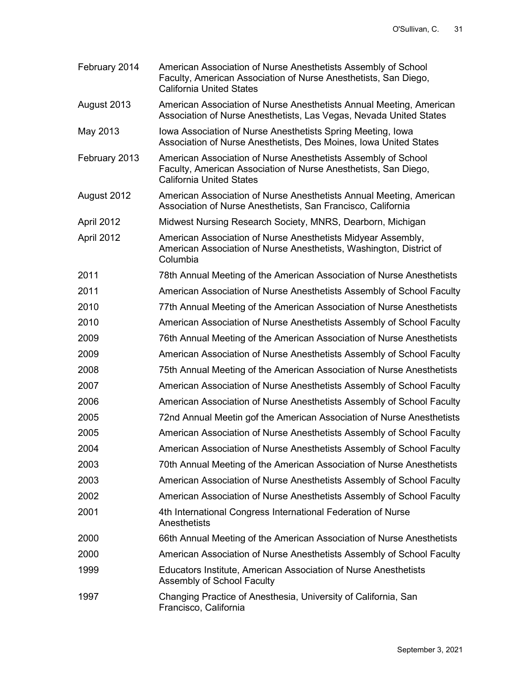- February 2014 American Association of Nurse Anesthetists Assembly of School Faculty, American Association of Nurse Anesthetists, San Diego, California United States
- August 2013 American Association of Nurse Anesthetists Annual Meeting, American Association of Nurse Anesthetists, Las Vegas, Nevada United States
- May 2013 Iowa Association of Nurse Anesthetists Spring Meeting, Iowa Association of Nurse Anesthetists, Des Moines, Iowa United States
- February 2013 American Association of Nurse Anesthetists Assembly of School Faculty, American Association of Nurse Anesthetists, San Diego, California United States
- August 2012 American Association of Nurse Anesthetists Annual Meeting, American Association of Nurse Anesthetists, San Francisco, California
- April 2012 Midwest Nursing Research Society, MNRS, Dearborn, Michigan
- April 2012 American Association of Nurse Anesthetists Midyear Assembly, American Association of Nurse Anesthetists, Washington, District of Columbia
- 2011 78th Annual Meeting of the American Association of Nurse Anesthetists 2011 American Association of Nurse Anesthetists Assembly of School Faculty
- 
- 2010 77th Annual Meeting of the American Association of Nurse Anesthetists
- 2010 American Association of Nurse Anesthetists Assembly of School Faculty
- 2009 76th Annual Meeting of the American Association of Nurse Anesthetists 2009 American Association of Nurse Anesthetists Assembly of School Faculty
- 2008 75th Annual Meeting of the American Association of Nurse Anesthetists
- 2007 American Association of Nurse Anesthetists Assembly of School Faculty
- 2006 American Association of Nurse Anesthetists Assembly of School Faculty
- 2005 72nd Annual Meetin gof the American Association of Nurse Anesthetists 2005 American Association of Nurse Anesthetists Assembly of School Faculty
- 2004 American Association of Nurse Anesthetists Assembly of School Faculty
- 2003 70th Annual Meeting of the American Association of Nurse Anesthetists
- 2003 American Association of Nurse Anesthetists Assembly of School Faculty
- 2002 American Association of Nurse Anesthetists Assembly of School Faculty
- 2001 4th International Congress International Federation of Nurse **Anesthetists**
- 2000 66th Annual Meeting of the American Association of Nurse Anesthetists
- 2000 American Association of Nurse Anesthetists Assembly of School Faculty
- 1999 Educators Institute, American Association of Nurse Anesthetists Assembly of School Faculty
- 1997 Changing Practice of Anesthesia, University of California, San Francisco, California